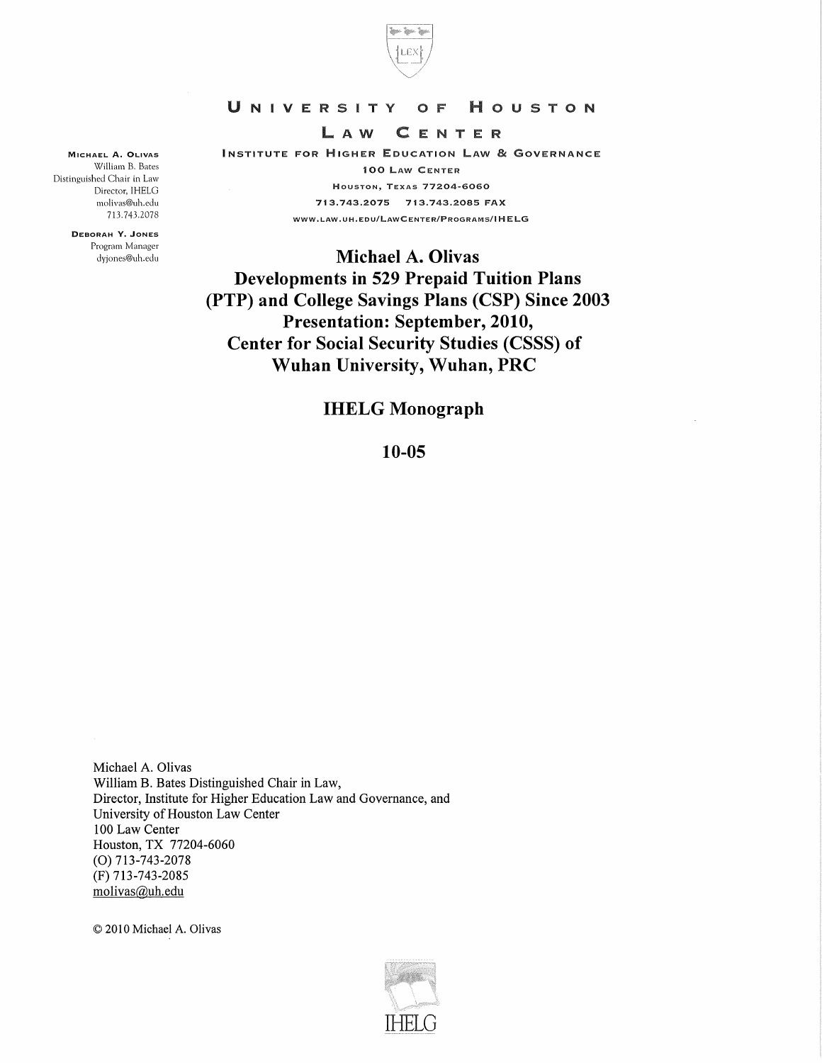

#### UNIVERSITY O F HOUSTON

#### $L A W$ CENTER

INSTITUTE FOR HIGHER EDUCATION LAW & GOVERNANCE 100 LAW CENTER **HOUSTON, TEXAS 77204-6060** 713.743.2075 713.743.2085 FAX WWW.LAW.UH.EDU/LAWCENTER/PROGRAMS/IHELG

**Michael A. Olivas Developments in 529 Prepaid Tuition Plans** (PTP) and College Savings Plans (CSP) Since 2003 **Presentation: September, 2010, Center for Social Security Studies (CSSS) of** Wuhan University, Wuhan, PRC

## **IHELG Monograph**

 $10 - 05$ 

Michael A. Olivas William B. Bates Distinguished Chair in Law, Director, Institute for Higher Education Law and Governance, and University of Houston Law Center 100 Law Center Houston, TX 77204-6060  $(O)$  713-743-2078 (F) 713-743-2085 molivas@uh.edu

© 2010 Michael A. Olivas



MICHAEL A. OLIVAS William B. Bates Distinguished Chair in Law Director, IHELG molivas@uh.edu 713.743.2078

> DEBORAH Y. JONES Program Manager dyjones@uh.edu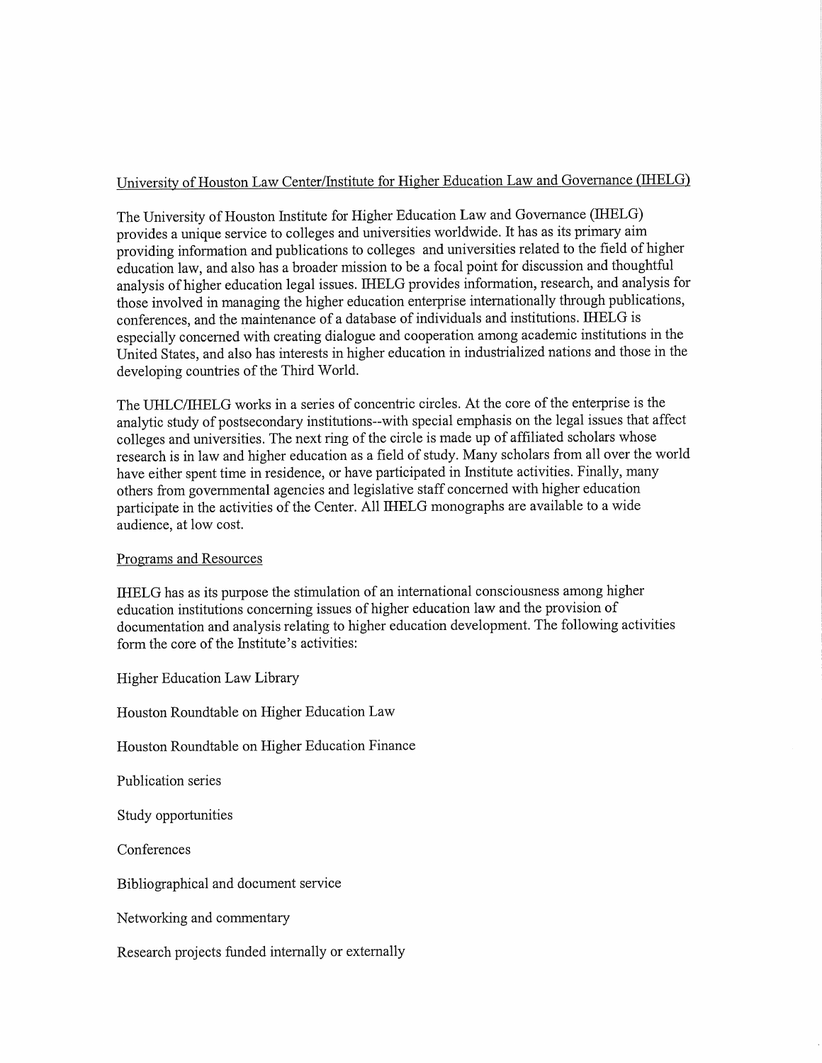## University of Houston Law Center/Institute for Higher Education Law and Governance (IHELG)

The University of Houston Institute for Higher Education Law and Governance (IHELG) provides a unique service to colleges and universities worldwide. It has as its primary aim providing information and publications to colleges and universities related to the field of higher education law, and also has a broader mission to be a focal point for discussion and thoughtful analysis of higher education legal issues. IHELG provides information, research, and analysis for those involved in managing the higher education enterprise internationally through publications, conferences, and the maintenance of a database of individuals and institutions. IHELG is especially concerned with creating dialogue and cooperation among academic institutions in the United States, and also has interests in higher education in industrialized nations and those in the developing countries of the Third World.

The UHLC/IHELG works in a series of concentric circles. At the core of the enterprise is the analytic study of postsecondary institutions--with special emphasis on the legal issues that affect colleges and universities. The next ring of the circle is made up of affiliated scholars whose research is in law and higher education as a field of study. Many scholars from all over the world have either spent time in residence, or have participated in Institute activities. Finally, many others from governmental agencies and legislative staff concerned with higher education participate in the activities of the Center. All IHELG monographs are available to a wide audience, at low cost.

#### Programs and Resources

IHELG has as its purpose the stimulation of an international consciousness among higher education institutions concerning issues of higher education law and the provision of documentation and analysis relating to higher education development. The following activities form the core of the Institute's activities:

Higher Education Law Library

Houston Roundtable on Higher Education Law

Houston Roundtable on Higher Education Finance

Publication series

Study opportunities

Conferences

Bibliographical and document service

Networking and commentary

Research projects funded internally or externally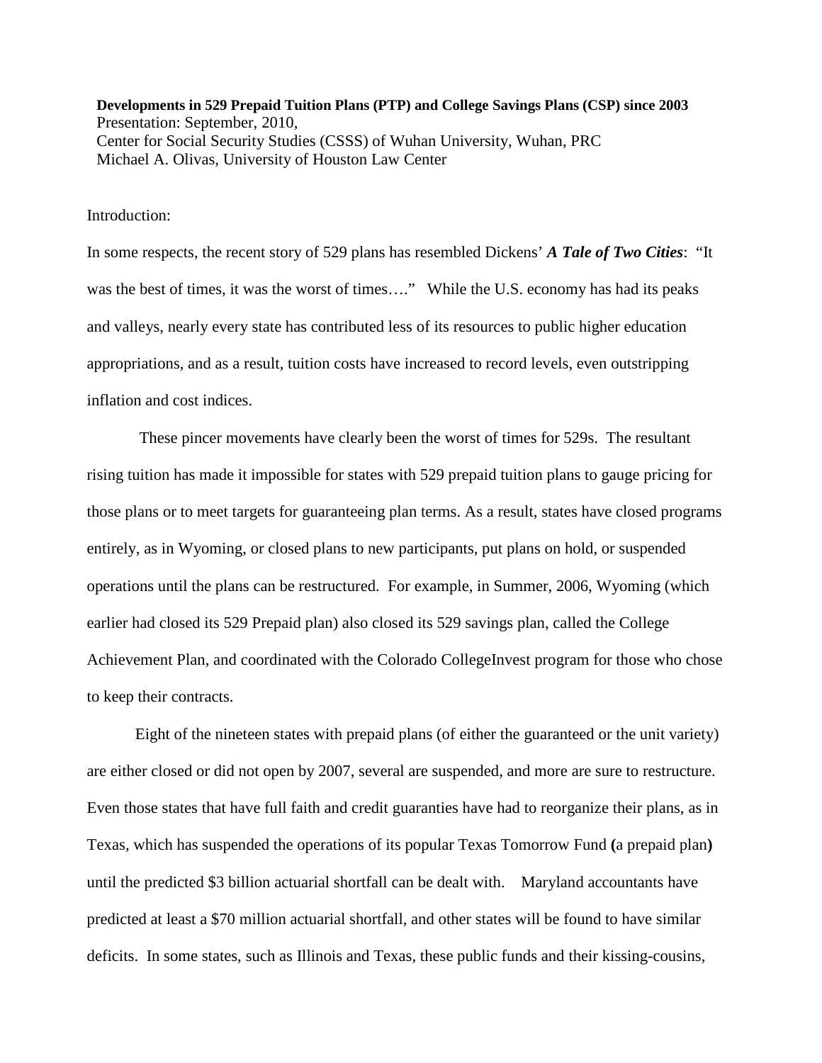**Developments in 529 Prepaid Tuition Plans (PTP) and College Savings Plans (CSP) since 2003** Presentation: September, 2010, Center for Social Security Studies (CSSS) of Wuhan University, Wuhan, PRC Michael A. Olivas, University of Houston Law Center

#### Introduction:

In some respects, the recent story of 529 plans has resembled Dickens' *A Tale of Two Cities*: "It was the best of times, it was the worst of times...." While the U.S. economy has had its peaks and valleys, nearly every state has contributed less of its resources to public higher education appropriations, and as a result, tuition costs have increased to record levels, even outstripping inflation and cost indices.

These pincer movements have clearly been the worst of times for 529s. The resultant rising tuition has made it impossible for states with 529 prepaid tuition plans to gauge pricing for those plans or to meet targets for guaranteeing plan terms. As a result, states have closed programs entirely, as in Wyoming, or closed plans to new participants, put plans on hold, or suspended operations until the plans can be restructured. For example, in Summer, 2006, Wyoming (which earlier had closed its 529 Prepaid plan) also closed its 529 savings plan, called the College Achievement Plan, and coordinated with the Colorado CollegeInvest program for those who chose to keep their contracts.

Eight of the nineteen states with prepaid plans (of either the guaranteed or the unit variety) are either closed or did not open by 2007, several are suspended, and more are sure to restructure. Even those states that have full faith and credit guaranties have had to reorganize their plans, as in Texas, which has suspended the operations of its popular Texas Tomorrow Fund **(**a prepaid plan**)** until the predicted \$3 billion actuarial shortfall can be dealt with. Maryland accountants have predicted at least a \$70 million actuarial shortfall, and other states will be found to have similar deficits. In some states, such as Illinois and Texas, these public funds and their kissing-cousins,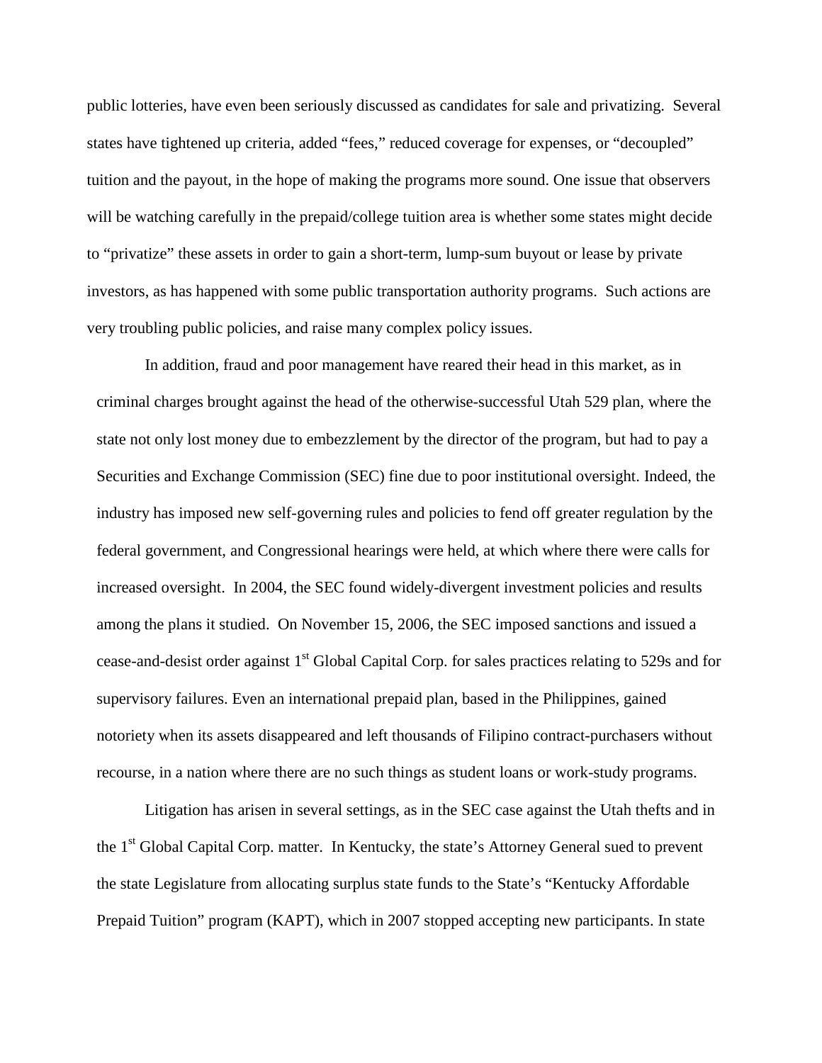public lotteries, have even been seriously discussed as candidates for sale and privatizing. Several states have tightened up criteria, added "fees," reduced coverage for expenses, or "decoupled" tuition and the payout, in the hope of making the programs more sound. One issue that observers will be watching carefully in the prepaid/college tuition area is whether some states might decide to "privatize" these assets in order to gain a short-term, lump-sum buyout or lease by private investors, as has happened with some public transportation authority programs. Such actions are very troubling public policies, and raise many complex policy issues.

In addition, fraud and poor management have reared their head in this market, as in criminal charges brought against the head of the otherwise-successful Utah 529 plan, where the state not only lost money due to embezzlement by the director of the program, but had to pay a Securities and Exchange Commission (SEC) fine due to poor institutional oversight. Indeed, the industry has imposed new self-governing rules and policies to fend off greater regulation by the federal government, and Congressional hearings were held, at which where there were calls for increased oversight. In 2004, the SEC found widely-divergent investment policies and results among the plans it studied. On November 15, 2006, the SEC imposed sanctions and issued a cease-and-desist order against 1<sup>st</sup> Global Capital Corp. for sales practices relating to 529s and for supervisory failures. Even an international prepaid plan, based in the Philippines, gained notoriety when its assets disappeared and left thousands of Filipino contract-purchasers without recourse, in a nation where there are no such things as student loans or work-study programs.

Litigation has arisen in several settings, as in the SEC case against the Utah thefts and in the 1<sup>st</sup> Global Capital Corp. matter. In Kentucky, the state's Attorney General sued to prevent the state Legislature from allocating surplus state funds to the State's "Kentucky Affordable Prepaid Tuition" program (KAPT), which in 2007 stopped accepting new participants. In state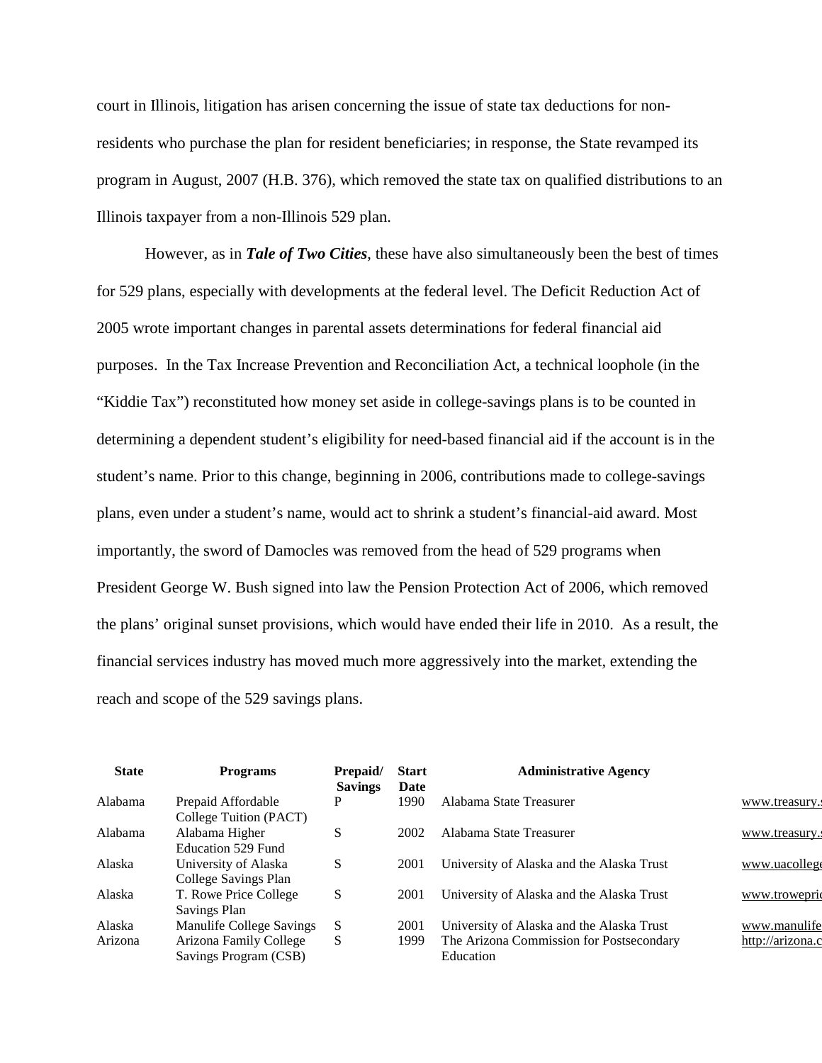court in Illinois, litigation has arisen concerning the issue of state tax deductions for nonresidents who purchase the plan for resident beneficiaries; in response, the State revamped its program in August, 2007 (H.B. 376), which removed the state tax on qualified distributions to an Illinois taxpayer from a non-Illinois 529 plan.

However, as in *Tale of Two Cities*, these have also simultaneously been the best of times for 529 plans, especially with developments at the federal level. The Deficit Reduction Act of 2005 wrote important changes in parental assets determinations for federal financial aid purposes. In the Tax Increase Prevention and Reconciliation Act, a technical loophole (in the "Kiddie Tax") reconstituted how money set aside in college-savings plans is to be counted in determining a dependent student's eligibility for need-based financial aid if the account is in the student's name. Prior to this change, beginning in 2006, contributions made to college-savings plans, even under a student's name, would act to shrink a student's financial-aid award. Most importantly, the sword of Damocles was removed from the head of 529 programs when President George W. Bush signed into law the Pension Protection Act of 2006, which removed the plans' original sunset provisions, which would have ended their life in 2010. As a result, the financial services industry has moved much more aggressively into the market, extending the reach and scope of the 529 savings plans.

| <b>State</b> | <b>Programs</b>                                 | Prepaid/<br><b>Savings</b> | <b>Start</b><br>Date | <b>Administrative Agency</b>                          |                  |
|--------------|-------------------------------------------------|----------------------------|----------------------|-------------------------------------------------------|------------------|
| Alabama      | Prepaid Affordable<br>College Tuition (PACT)    | P                          | 1990                 | Alabama State Treasurer                               | www.treasury.    |
| Alabama      | Alabama Higher<br>Education 529 Fund            | S                          | 2002                 | Alabama State Treasurer                               | www.treasury.    |
| Alaska       | University of Alaska<br>College Savings Plan    | S                          | 2001                 | University of Alaska and the Alaska Trust             | www.uacollege    |
| Alaska       | T. Rowe Price College<br>Savings Plan           | S                          | 2001                 | University of Alaska and the Alaska Trust             | www.trowepri     |
| Alaska       | Manulife College Savings                        | S                          | 2001                 | University of Alaska and the Alaska Trust             | www.manulife     |
| Arizona      | Arizona Family College<br>Savings Program (CSB) | S                          | 1999                 | The Arizona Commission for Postsecondary<br>Education | http://arizona.c |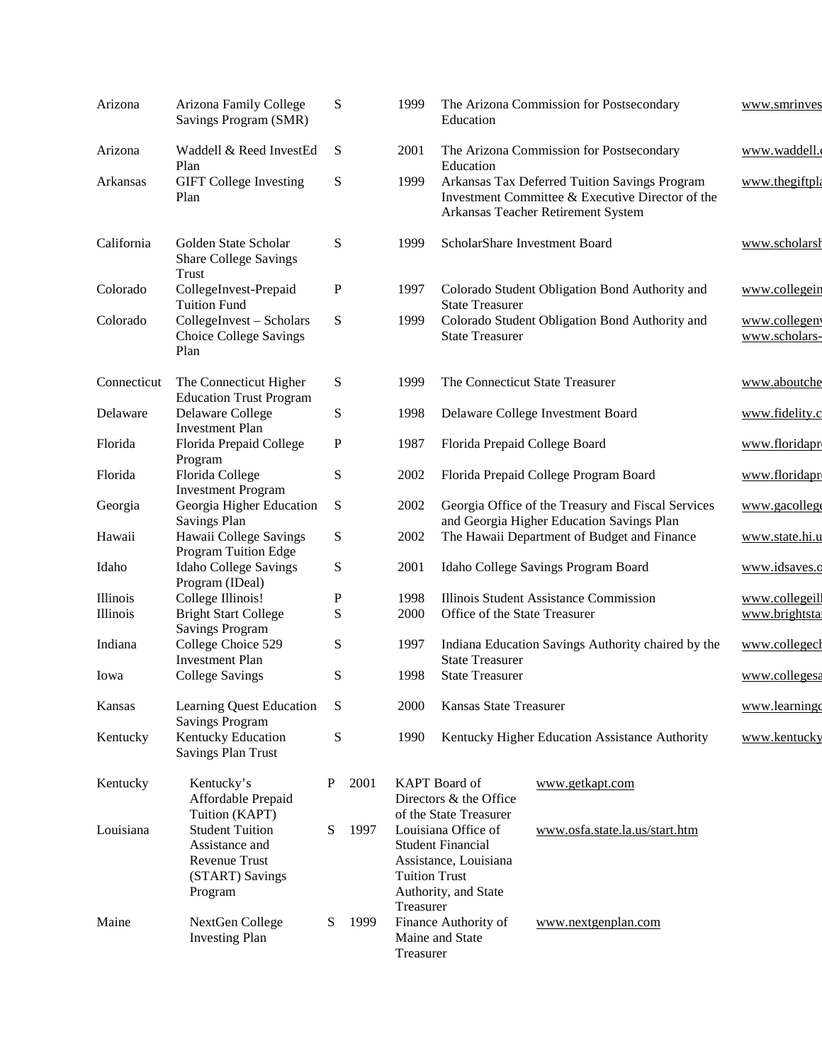| Arizona         | Arizona Family College<br>Savings Program (SMR)                                                | S           |      | 1999                              | Education                                                                                                                               | The Arizona Commission for Postsecondary       | www.smrinves                  |
|-----------------|------------------------------------------------------------------------------------------------|-------------|------|-----------------------------------|-----------------------------------------------------------------------------------------------------------------------------------------|------------------------------------------------|-------------------------------|
| Arizona         | Waddell & Reed InvestEd<br>Plan                                                                | S           |      | 2001                              | The Arizona Commission for Postsecondary<br>Education                                                                                   |                                                | www.waddell.o                 |
| Arkansas        | <b>GIFT</b> College Investing<br>Plan                                                          | S           |      | 1999                              | Arkansas Tax Deferred Tuition Savings Program<br>Investment Committee & Executive Director of the<br>Arkansas Teacher Retirement System |                                                | www.thegiftpla                |
| California      | Golden State Scholar<br><b>Share College Savings</b><br>Trust                                  | S           |      | 1999                              | ScholarShare Investment Board                                                                                                           |                                                | www.scholarsh                 |
| Colorado        | CollegeInvest-Prepaid<br><b>Tuition Fund</b>                                                   | P           |      | 1997                              | <b>State Treasurer</b>                                                                                                                  | Colorado Student Obligation Bond Authority and |                               |
| Colorado        | CollegeInvest - Scholars<br><b>Choice College Savings</b><br>Plan                              | ${\bf S}$   |      | 1999                              | <b>State Treasurer</b>                                                                                                                  | Colorado Student Obligation Bond Authority and | www.collegen<br>www.scholars- |
| Connecticut     | The Connecticut Higher<br><b>Education Trust Program</b>                                       | S           |      | 1999                              |                                                                                                                                         | The Connecticut State Treasurer                | www.aboutche                  |
| Delaware        | Delaware College<br><b>Investment Plan</b>                                                     | S           |      | 1998                              |                                                                                                                                         | Delaware College Investment Board              | www.fidelity.c                |
| Florida         | Florida Prepaid College<br>Program                                                             | P           |      | 1987                              | Florida Prepaid College Board                                                                                                           |                                                | www.floridapr                 |
| Florida         | Florida College<br><b>Investment Program</b>                                                   | S           |      | 2002                              | Florida Prepaid College Program Board                                                                                                   |                                                | www.floridapr                 |
| Georgia         | Georgia Higher Education<br>Savings Plan                                                       | S           |      | 2002                              | Georgia Office of the Treasury and Fiscal Services<br>and Georgia Higher Education Savings Plan                                         |                                                | www.gacollege                 |
| Hawaii          | Hawaii College Savings<br>Program Tuition Edge                                                 | S           |      | 2002                              |                                                                                                                                         | The Hawaii Department of Budget and Finance    | www.state.hi.u                |
| Idaho           | <b>Idaho College Savings</b><br>Program (IDeal)                                                | S           |      | 2001                              | Idaho College Savings Program Board                                                                                                     |                                                | www.idsaves.c                 |
| <b>Illinois</b> | College Illinois!                                                                              | $\mathbf P$ |      | 1998                              | Illinois Student Assistance Commission                                                                                                  |                                                | www.collegeill                |
| Illinois        | <b>Bright Start College</b><br><b>Savings Program</b>                                          | S           |      | 2000                              | Office of the State Treasurer                                                                                                           |                                                | www.brightsta                 |
| Indiana         | College Choice 529<br><b>Investment Plan</b>                                                   | S           |      | 1997                              | Indiana Education Savings Authority chaired by the<br><b>State Treasurer</b>                                                            |                                                | www.collegecl                 |
| Iowa            | <b>College Savings</b>                                                                         | S           |      | 1998                              | <b>State Treasurer</b>                                                                                                                  |                                                | www.collegesa                 |
| Kansas          | Learning Quest Education<br><b>Savings Program</b>                                             | S           |      | 2000                              | <b>Kansas State Treasurer</b>                                                                                                           |                                                | www.learningo                 |
| Kentucky        | Kentucky Education<br><b>Savings Plan Trust</b>                                                | ${\bf S}$   |      | 1990                              |                                                                                                                                         | Kentucky Higher Education Assistance Authority | www.kentucky                  |
| Kentucky        | Kentucky's<br>Affordable Prepaid<br>Tuition (KAPT)                                             | P           | 2001 |                                   | <b>KAPT</b> Board of<br>Directors & the Office<br>of the State Treasurer                                                                | www.getkapt.com                                |                               |
| Louisiana       | <b>Student Tuition</b><br>Assistance and<br><b>Revenue Trust</b><br>(START) Savings<br>Program | S           | 1997 | <b>Tuition Trust</b><br>Treasurer | Louisiana Office of<br><b>Student Financial</b><br>Assistance, Louisiana<br>Authority, and State                                        | www.osfa.state.la.us/start.htm                 |                               |
| Maine           | NextGen College<br><b>Investing Plan</b>                                                       | S           | 1999 | Treasurer                         | Finance Authority of<br>Maine and State                                                                                                 | www.nextgenplan.com                            |                               |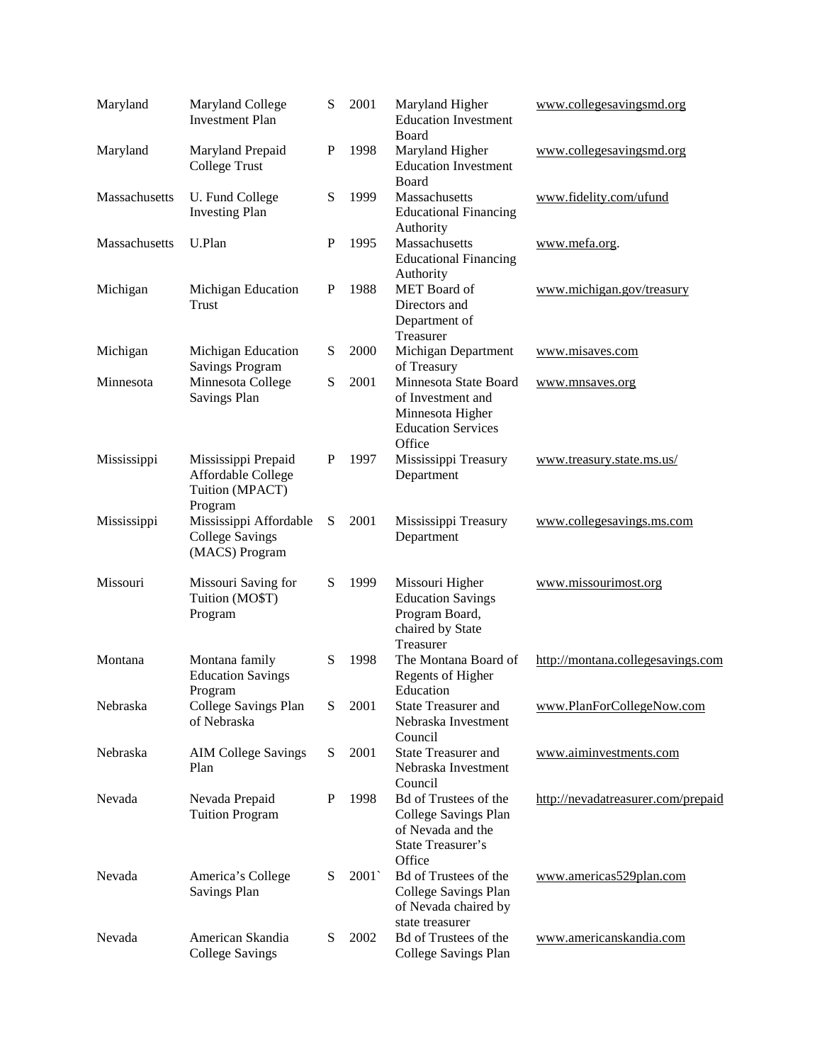| Maryland      | Maryland College<br><b>Investment Plan</b>                              | S | 2001  | Maryland Higher<br><b>Education Investment</b><br><b>Board</b>                                        | www.collegesavingsmd.org           |
|---------------|-------------------------------------------------------------------------|---|-------|-------------------------------------------------------------------------------------------------------|------------------------------------|
| Maryland      | Maryland Prepaid<br>College Trust                                       | P | 1998  | Maryland Higher<br><b>Education Investment</b><br>Board                                               | www.collegesavingsmd.org           |
| Massachusetts | U. Fund College<br><b>Investing Plan</b>                                | S | 1999  | Massachusetts<br><b>Educational Financing</b><br>Authority                                            | www.fidelity.com/ufund             |
| Massachusetts | U.Plan                                                                  | P | 1995  | Massachusetts<br><b>Educational Financing</b><br>Authority                                            | www.mefa.org.                      |
| Michigan      | Michigan Education<br>Trust                                             | P | 1988  | MET Board of<br>Directors and<br>Department of<br>Treasurer                                           | www.michigan.gov/treasury          |
| Michigan      | Michigan Education<br><b>Savings Program</b>                            | S | 2000  | Michigan Department<br>of Treasury                                                                    | www.misaves.com                    |
| Minnesota     | Minnesota College<br><b>Savings Plan</b>                                | S | 2001  | Minnesota State Board<br>of Investment and<br>Minnesota Higher<br><b>Education Services</b><br>Office | www.mnsaves.org                    |
| Mississippi   | Mississippi Prepaid<br>Affordable College<br>Tuition (MPACT)<br>Program | P | 1997  | Mississippi Treasury<br>Department                                                                    | www.treasury.state.ms.us/          |
| Mississippi   | Mississippi Affordable<br><b>College Savings</b><br>(MACS) Program      | S | 2001  | Mississippi Treasury<br>Department                                                                    | www.collegesavings.ms.com          |
| Missouri      | Missouri Saving for<br>Tuition (MO\$T)<br>Program                       | S | 1999  | Missouri Higher<br><b>Education Savings</b><br>Program Board,<br>chaired by State<br>Treasurer        | www.missourimost.org               |
| Montana       | Montana family<br><b>Education Savings</b><br>Program                   | S | 1998  | The Montana Board of<br>Regents of Higher<br>Education                                                | http://montana.collegesavings.com  |
| Nebraska      | College Savings Plan<br>of Nebraska                                     | S | 2001  | <b>State Treasurer and</b><br>Nebraska Investment<br>Council                                          | www.PlanForCollegeNow.com          |
| Nebraska      | <b>AIM College Savings</b><br>Plan                                      | S | 2001  | <b>State Treasurer and</b><br>Nebraska Investment<br>Council                                          | www.aiminvestments.com             |
| Nevada        | Nevada Prepaid<br><b>Tuition Program</b>                                | P | 1998  | Bd of Trustees of the<br>College Savings Plan<br>of Nevada and the<br>State Treasurer's<br>Office     | http://nevadatreasurer.com/prepaid |
| Nevada        | America's College<br><b>Savings Plan</b>                                | S | 2001` | Bd of Trustees of the<br>College Savings Plan<br>of Nevada chaired by<br>state treasurer              | www.americas529plan.com            |
| Nevada        | American Skandia<br><b>College Savings</b>                              | S | 2002  | <b>Bd</b> of Trustees of the<br>College Savings Plan                                                  | www.americanskandia.com            |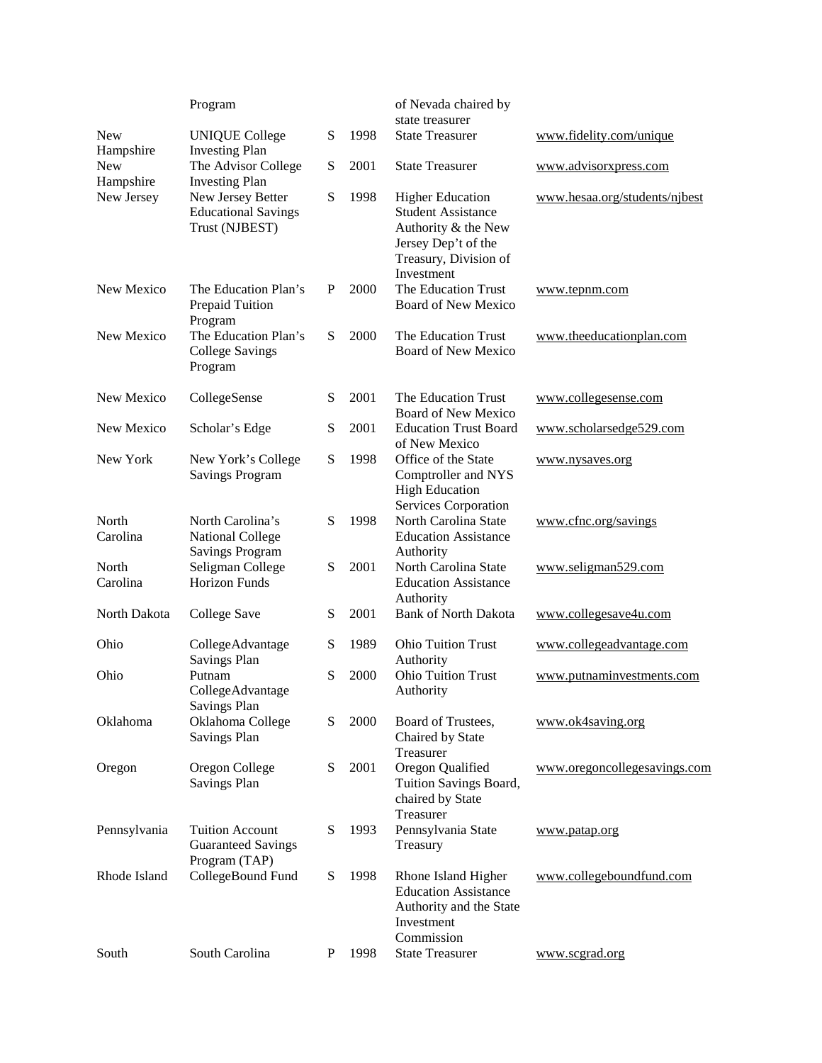|                         | Program                                                               |           |      | of Nevada chaired by<br>state treasurer                                                                                                   |                               |
|-------------------------|-----------------------------------------------------------------------|-----------|------|-------------------------------------------------------------------------------------------------------------------------------------------|-------------------------------|
| <b>New</b><br>Hampshire | <b>UNIQUE College</b><br><b>Investing Plan</b>                        | ${\bf S}$ | 1998 | <b>State Treasurer</b>                                                                                                                    | www.fidelity.com/unique       |
| <b>New</b><br>Hampshire | The Advisor College<br><b>Investing Plan</b>                          | S         | 2001 | <b>State Treasurer</b>                                                                                                                    | www.advisorxpress.com         |
| New Jersey              | New Jersey Better<br><b>Educational Savings</b><br>Trust (NJBEST)     | S         | 1998 | <b>Higher Education</b><br><b>Student Assistance</b><br>Authority & the New<br>Jersey Dep't of the<br>Treasury, Division of<br>Investment | www.hesaa.org/students/njbest |
| New Mexico              | The Education Plan's<br>Prepaid Tuition<br>Program                    | P         | 2000 | The Education Trust<br>Board of New Mexico                                                                                                | www.tepnm.com                 |
| New Mexico              | The Education Plan's<br><b>College Savings</b><br>Program             | S         | 2000 | The Education Trust<br>Board of New Mexico                                                                                                | www.theeducationplan.com      |
| New Mexico              | CollegeSense                                                          | S         | 2001 | The Education Trust<br>Board of New Mexico                                                                                                | www.collegesense.com          |
| New Mexico              | Scholar's Edge                                                        | ${\bf S}$ | 2001 | <b>Education Trust Board</b><br>of New Mexico                                                                                             | www.scholarsedge529.com       |
| New York                | New York's College<br><b>Savings Program</b>                          | ${\bf S}$ | 1998 | Office of the State<br>Comptroller and NYS<br><b>High Education</b><br>Services Corporation                                               | www.nysaves.org               |
| North<br>Carolina       | North Carolina's<br><b>National College</b><br><b>Savings Program</b> | S         | 1998 | North Carolina State<br><b>Education Assistance</b><br>Authority                                                                          | www.cfnc.org/savings          |
| North<br>Carolina       | Seligman College<br><b>Horizon Funds</b>                              | ${\bf S}$ | 2001 | North Carolina State<br><b>Education Assistance</b><br>Authority                                                                          | www.seligman529.com           |
| North Dakota            | College Save                                                          | S         | 2001 | <b>Bank of North Dakota</b>                                                                                                               | www.collegesave4u.com         |
| Ohio                    | CollegeAdvantage<br><b>Savings Plan</b>                               | S         | 1989 | <b>Ohio Tuition Trust</b><br>Authority                                                                                                    | www.collegeadvantage.com      |
| Ohio                    | Putnam<br>CollegeAdvantage<br><b>Savings Plan</b>                     | S         | 2000 | <b>Ohio Tuition Trust</b><br>Authority                                                                                                    | www.putnaminvestments.com     |
| Oklahoma                | Oklahoma College<br><b>Savings Plan</b>                               | S         | 2000 | Board of Trustees,<br>Chaired by State<br>Treasurer                                                                                       | www.ok4saving.org             |
| Oregon                  | Oregon College<br><b>Savings Plan</b>                                 | ${\bf S}$ | 2001 | Oregon Qualified<br>Tuition Savings Board,<br>chaired by State<br>Treasurer                                                               | www.oregoncollegesavings.com  |
| Pennsylvania            | <b>Tuition Account</b><br><b>Guaranteed Savings</b><br>Program (TAP)  | S         | 1993 | Pennsylvania State<br>Treasury                                                                                                            | www.patap.org                 |
| Rhode Island            | CollegeBound Fund                                                     | S         | 1998 | Rhone Island Higher<br><b>Education Assistance</b><br>Authority and the State<br>Investment<br>Commission                                 | www.collegeboundfund.com      |
| South                   | South Carolina                                                        | P         | 1998 | <b>State Treasurer</b>                                                                                                                    | www.scgrad.org                |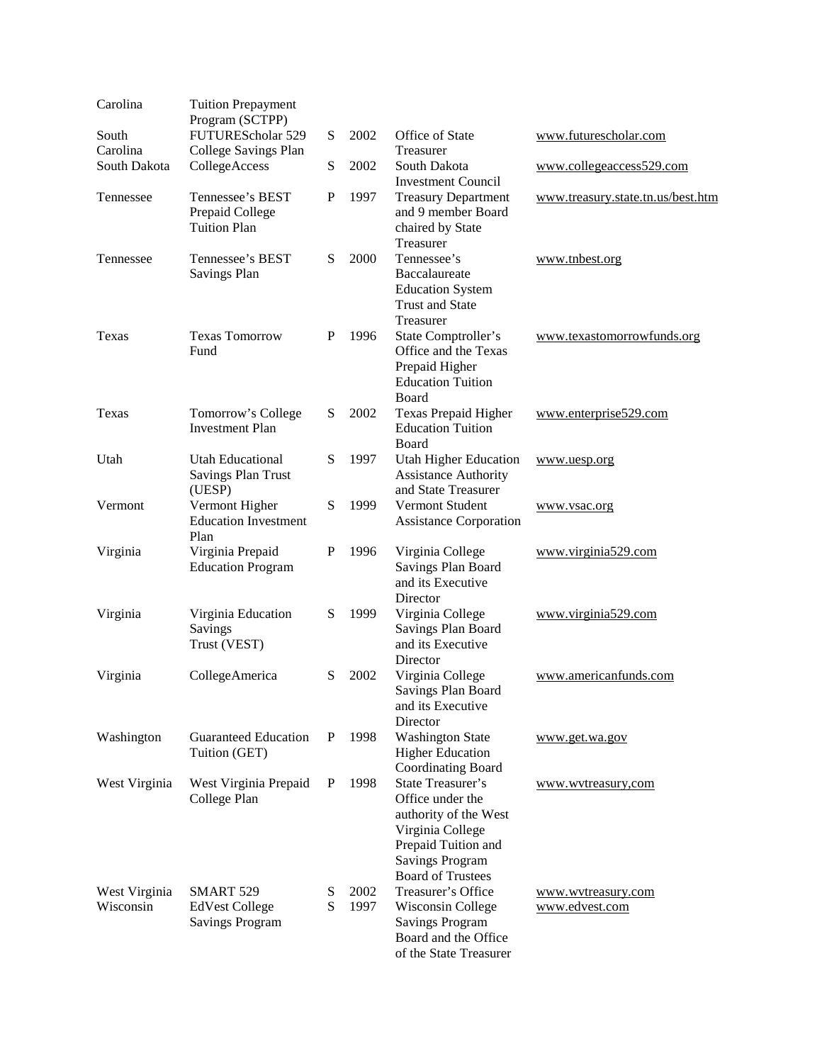| Carolina                   | <b>Tuition Prepayment</b>                                      |             |              |                                                                                                                                                                 |                                      |
|----------------------------|----------------------------------------------------------------|-------------|--------------|-----------------------------------------------------------------------------------------------------------------------------------------------------------------|--------------------------------------|
|                            | Program (SCTPP)                                                |             |              |                                                                                                                                                                 |                                      |
| South                      | FUTUREScholar 529                                              | S           | 2002         | Office of State                                                                                                                                                 | www.futurescholar.com                |
| Carolina                   | College Savings Plan                                           |             |              | Treasurer                                                                                                                                                       |                                      |
| South Dakota               | CollegeAccess                                                  | ${\bf S}$   | 2002         | South Dakota<br><b>Investment Council</b>                                                                                                                       | www.collegeaccess529.com             |
| Tennessee                  | Tennessee's BEST                                               | $\mathbf P$ | 1997         | <b>Treasury Department</b>                                                                                                                                      | www.treasury.state.tn.us/best.htm    |
|                            | Prepaid College<br><b>Tuition Plan</b>                         |             |              | and 9 member Board<br>chaired by State<br>Treasurer                                                                                                             |                                      |
| Tennessee                  | Tennessee's BEST<br>Savings Plan                               | S           | 2000         | Tennessee's<br>Baccalaureate<br><b>Education System</b><br><b>Trust and State</b>                                                                               | www.tnbest.org                       |
| Texas                      | <b>Texas Tomorrow</b><br>Fund                                  | P           | 1996         | Treasurer<br>State Comptroller's<br>Office and the Texas<br>Prepaid Higher<br><b>Education Tuition</b>                                                          | www.texastomorrowfunds.org           |
| Texas                      | Tomorrow's College<br><b>Investment Plan</b>                   | S           | 2002         | Board<br>Texas Prepaid Higher<br><b>Education Tuition</b><br>Board                                                                                              | www.enterprise529.com                |
| Utah                       | <b>Utah Educational</b><br><b>Savings Plan Trust</b><br>(UESP) | S           | 1997         | <b>Utah Higher Education</b><br><b>Assistance Authority</b><br>and State Treasurer                                                                              | www.uesp.org                         |
| Vermont                    | Vermont Higher<br><b>Education Investment</b><br>Plan          | ${\bf S}$   | 1999         | Vermont Student<br><b>Assistance Corporation</b>                                                                                                                | www.vsac.org                         |
| Virginia                   | Virginia Prepaid<br><b>Education Program</b>                   | P           | 1996         | Virginia College<br>Savings Plan Board<br>and its Executive<br>Director                                                                                         | www.virginia529.com                  |
| Virginia                   | Virginia Education<br>Savings<br>Trust (VEST)                  | S           | 1999         | Virginia College<br>Savings Plan Board<br>and its Executive<br>Director                                                                                         | www.virginia529.com                  |
| Virginia                   | CollegeAmerica                                                 | S           | 2002         | Virginia College<br>Savings Plan Board<br>and its Executive<br>Director                                                                                         | www.americanfunds.com                |
| Washington                 | <b>Guaranteed Education</b><br>Tuition (GET)                   | P           | 1998         | <b>Washington State</b><br><b>Higher Education</b><br>Coordinating Board                                                                                        | www.get.wa.gov                       |
| West Virginia              | West Virginia Prepaid<br>College Plan                          | P           | 1998         | State Treasurer's<br>Office under the<br>authority of the West<br>Virginia College<br>Prepaid Tuition and<br><b>Savings Program</b><br><b>Board of Trustees</b> | www.wytreasury.com                   |
| West Virginia<br>Wisconsin | SMART 529<br><b>EdVest College</b><br><b>Savings Program</b>   | S<br>S      | 2002<br>1997 | Treasurer's Office<br>Wisconsin College<br><b>Savings Program</b><br>Board and the Office<br>of the State Treasurer                                             | www.wytreasury.com<br>www.edvest.com |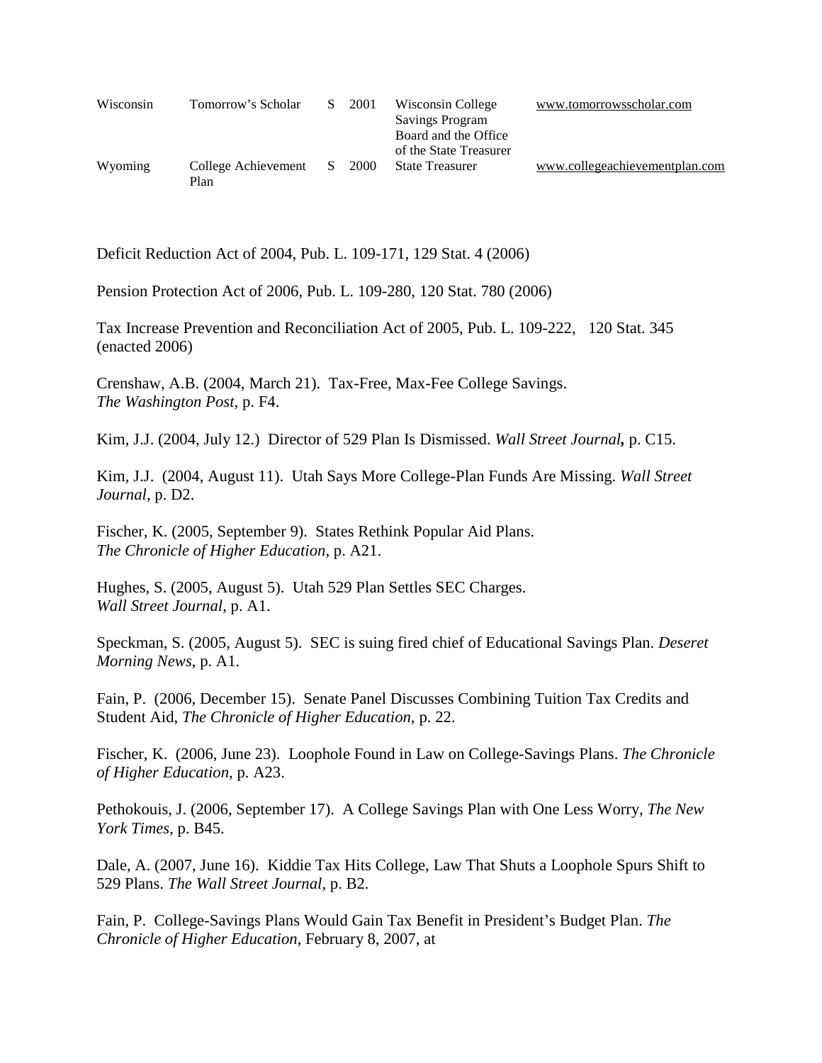| Wisconsin | Tomorrow's Scholar          | S. | 2001   | Wisconsin College<br><b>Savings Program</b><br>Board and the Office | www.tomorrowsscholar.com       |
|-----------|-----------------------------|----|--------|---------------------------------------------------------------------|--------------------------------|
| Wyoming   | College Achievement<br>Plan |    | S 2000 | of the State Treasurer<br><b>State Treasurer</b>                    | www.collegeachievementplan.com |

Deficit Reduction Act of 2004, Pub. L. 109-171, 129 Stat. 4 (2006)

Pension Protection Act of 2006, Pub. L. 109-280, 120 Stat. 780 (2006)

Tax Increase Prevention and Reconciliation Act of 2005, Pub. L. 109-222, 120 Stat. 345 (enacted 2006)

Crenshaw, A.B. (2004, March 21). Tax-Free, Max-Fee College Savings. *The Washington Post*, p. F4.

Kim, J.J. (2004, July 12.) Director of 529 Plan Is Dismissed. *Wall Street Journal,* p. C15.

Kim, J.J. (2004, August 11). Utah Says More College-Plan Funds Are Missing. *Wall Street Journal*, p. D2.

Fischer, K. (2005, September 9). States Rethink Popular Aid Plans. *The Chronicle of Higher Education*, p. A21.

Hughes, S. (2005, August 5). Utah 529 Plan Settles SEC Charges. *Wall Street Journal*, p. A1.

Speckman, S. (2005, August 5). SEC is suing fired chief of Educational Savings Plan. *Deseret Morning News*, p. A1.

Fain, P. (2006, December 15). Senate Panel Discusses Combining Tuition Tax Credits and Student Aid, *The Chronicle of Higher Education*, p. 22.

Fischer, K. (2006, June 23). Loophole Found in Law on College-Savings Plans. *The Chronicle of Higher Education*, p. A23.

Pethokouis, J. (2006, September 17). A College Savings Plan with One Less Worry, *The New York Times*, p. B45.

Dale, A. (2007, June 16). Kiddie Tax Hits College, Law That Shuts a Loophole Spurs Shift to 529 Plans. *The Wall Street Journal*, p. B2.

Fain, P. College-Savings Plans Would Gain Tax Benefit in President's Budget Plan. *The Chronicle of Higher Education*, February 8, 2007, at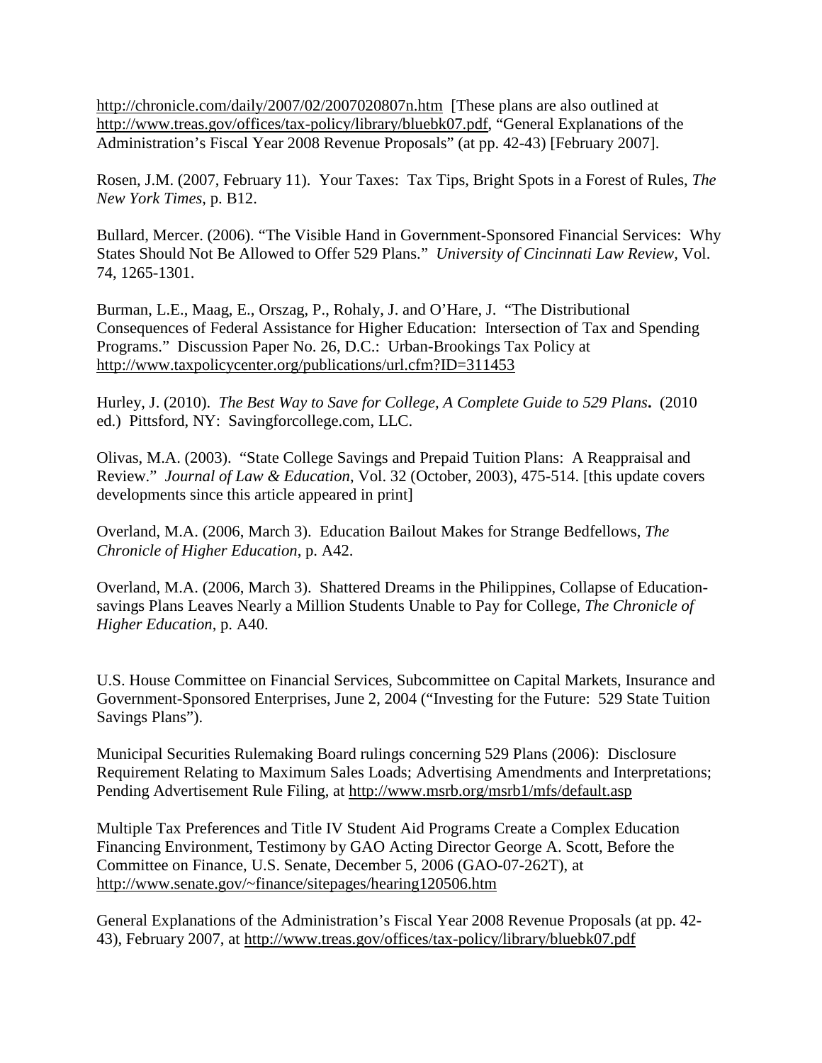<http://chronicle.com/daily/2007/02/2007020807n.htm> [These plans are also outlined at [http://www.treas.gov/offices/tax-policy/library/bluebk07.pdf,](http://www.treas.gov/offices/tax-policy/library/bluebk07.pdf) "General Explanations of the Administration's Fiscal Year 2008 Revenue Proposals" (at pp. 42-43) [February 2007].

Rosen, J.M. (2007, February 11). Your Taxes: Tax Tips, Bright Spots in a Forest of Rules, *The New York Times*, p. B12.

Bullard, Mercer. (2006). "The Visible Hand in Government-Sponsored Financial Services: Why States Should Not Be Allowed to Offer 529 Plans." *University of Cincinnati Law Review,* Vol. 74, 1265-1301.

Burman, L.E., Maag, E., Orszag, P., Rohaly, J. and O'Hare, J. "The Distributional Consequences of Federal Assistance for Higher Education: Intersection of Tax and Spending Programs." Discussion Paper No. 26, D.C.: Urban-Brookings Tax Policy at <http://www.taxpolicycenter.org/publications/url.cfm?ID=311453>

Hurley, J. (2010). *The Best Way to Save for College, A Complete Guide to 529 Plans***.** (2010 ed.) Pittsford, NY: Savingforcollege.com, LLC.

Olivas, M.A. (2003). "State College Savings and Prepaid Tuition Plans: A Reappraisal and Review." *Journal of Law & Education*, Vol. 32 (October, 2003), 475-514. [this update covers developments since this article appeared in print]

Overland, M.A. (2006, March 3). Education Bailout Makes for Strange Bedfellows, *The Chronicle of Higher Education*, p. A42.

Overland, M.A. (2006, March 3). Shattered Dreams in the Philippines, Collapse of Educationsavings Plans Leaves Nearly a Million Students Unable to Pay for College, *The Chronicle of Higher Education*, p. A40.

U.S. House Committee on Financial Services, Subcommittee on Capital Markets, Insurance and Government-Sponsored Enterprises, June 2, 2004 ("Investing for the Future: 529 State Tuition Savings Plans").

Municipal Securities Rulemaking Board rulings concerning 529 Plans (2006): Disclosure Requirement Relating to Maximum Sales Loads; Advertising Amendments and Interpretations; Pending Advertisement Rule Filing, at<http://www.msrb.org/msrb1/mfs/default.asp>

Multiple Tax Preferences and Title IV Student Aid Programs Create a Complex Education Financing Environment, Testimony by GAO Acting Director George A. Scott, Before the Committee on Finance, U.S. Senate, December 5, 2006 (GAO-07-262T), at <http://www.senate.gov/~finance/sitepages/hearing120506.htm>

General Explanations of the Administration's Fiscal Year 2008 Revenue Proposals (at pp. 42- 43), February 2007, at<http://www.treas.gov/offices/tax-policy/library/bluebk07.pdf>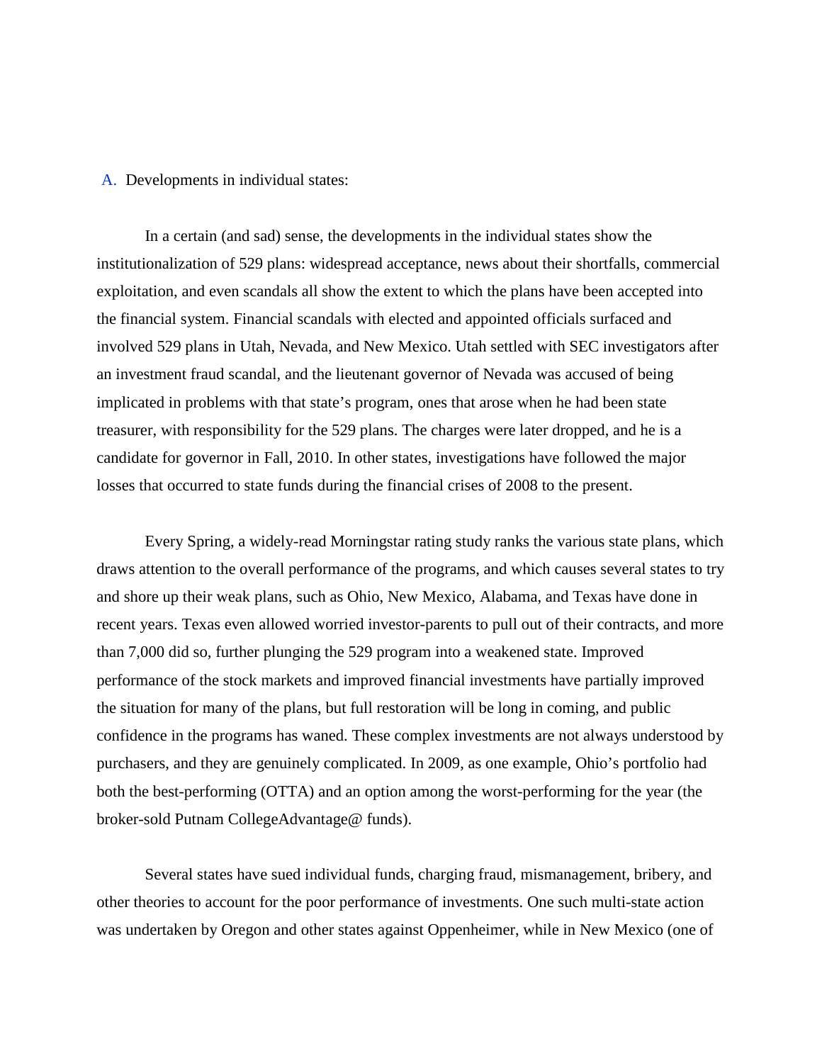#### A. Developments in individual states:

In a certain (and sad) sense, the developments in the individual states show the institutionalization of 529 plans: widespread acceptance, news about their shortfalls, commercial exploitation, and even scandals all show the extent to which the plans have been accepted into the financial system. Financial scandals with elected and appointed officials surfaced and involved 529 plans in Utah, Nevada, and New Mexico. Utah settled with SEC investigators after an investment fraud scandal, and the lieutenant governor of Nevada was accused of being implicated in problems with that state's program, ones that arose when he had been state treasurer, with responsibility for the 529 plans. The charges were later dropped, and he is a candidate for governor in Fall, 2010. In other states, investigations have followed the major losses that occurred to state funds during the financial crises of 2008 to the present.

Every Spring, a widely-read Morningstar rating study ranks the various state plans, which draws attention to the overall performance of the programs, and which causes several states to try and shore up their weak plans, such as Ohio, New Mexico, Alabama, and Texas have done in recent years. Texas even allowed worried investor-parents to pull out of their contracts, and more than 7,000 did so, further plunging the 529 program into a weakened state. Improved performance of the stock markets and improved financial investments have partially improved the situation for many of the plans, but full restoration will be long in coming, and public confidence in the programs has waned. These complex investments are not always understood by purchasers, and they are genuinely complicated. In 2009, as one example, Ohio's portfolio had both the best-performing (OTTA) and an option among the worst-performing for the year (the broker-sold Putnam CollegeAdvantage@ funds).

Several states have sued individual funds, charging fraud, mismanagement, bribery, and other theories to account for the poor performance of investments. One such multi-state action was undertaken by Oregon and other states against Oppenheimer, while in New Mexico (one of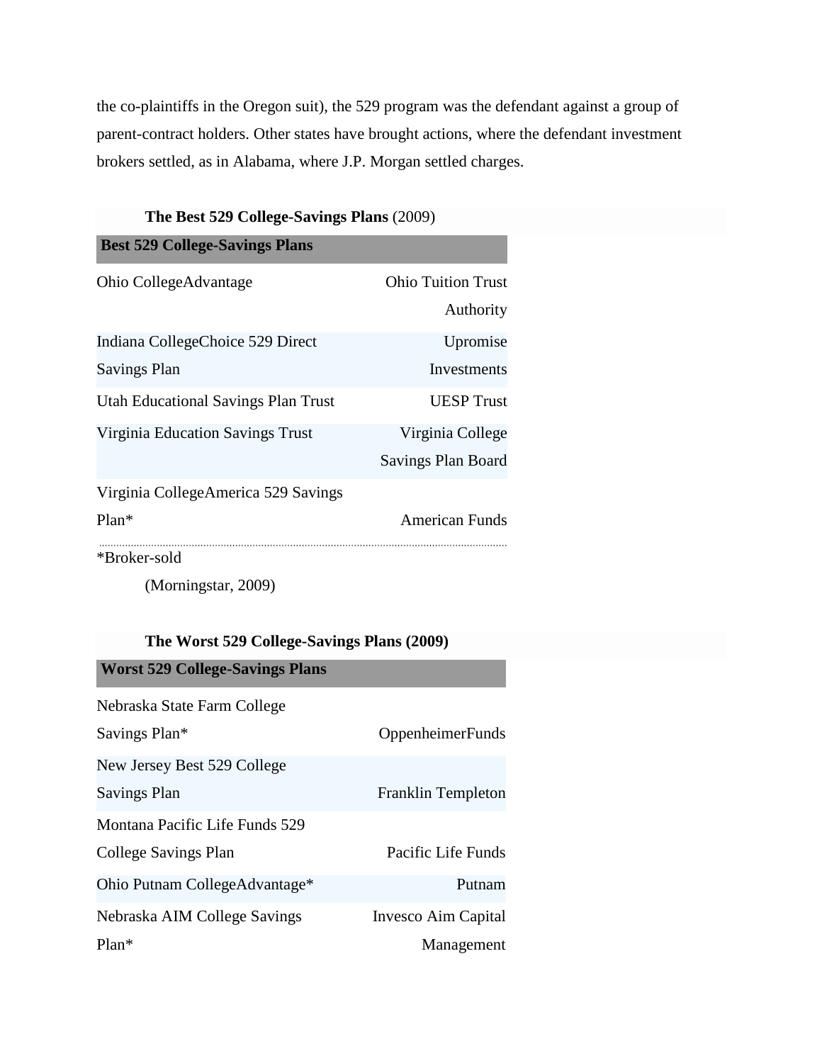the co-plaintiffs in the Oregon suit), the 529 program was the defendant against a group of parent-contract holders. Other states have brought actions, where the defendant investment brokers settled, as in Alabama, where J.P. Morgan settled charges.

| The Best 529 College-Savings Plans (2009)  |                           |
|--------------------------------------------|---------------------------|
| <b>Best 529 College-Savings Plans</b>      |                           |
| Ohio CollegeAdvantage                      | <b>Ohio Tuition Trust</b> |
|                                            | Authority                 |
| Indiana CollegeChoice 529 Direct           | Upromise                  |
| Savings Plan                               | Investments               |
| <b>Utah Educational Savings Plan Trust</b> | <b>UESP</b> Trust         |
| Virginia Education Savings Trust           | Virginia College          |
|                                            | Savings Plan Board        |
| Virginia CollegeAmerica 529 Savings        |                           |
| Plan*                                      | <b>American Funds</b>     |
| *Broker-sold                               |                           |

(Morningstar, 2009)

## **The Worst 529 College-Savings Plans (2009)**

# **Worst 529 College-Savings Plans**

| Nebraska State Farm College    |                           |
|--------------------------------|---------------------------|
| Savings Plan*                  | <b>OppenheimerFunds</b>   |
| New Jersey Best 529 College    |                           |
| Savings Plan                   | <b>Franklin Templeton</b> |
| Montana Pacific Life Funds 529 |                           |
| College Savings Plan           | Pacific Life Funds        |
| Ohio Putnam CollegeAdvantage*  | Putnam                    |
| Nebraska AIM College Savings   | Invesco Aim Capital       |
| $Plan*$                        | Management                |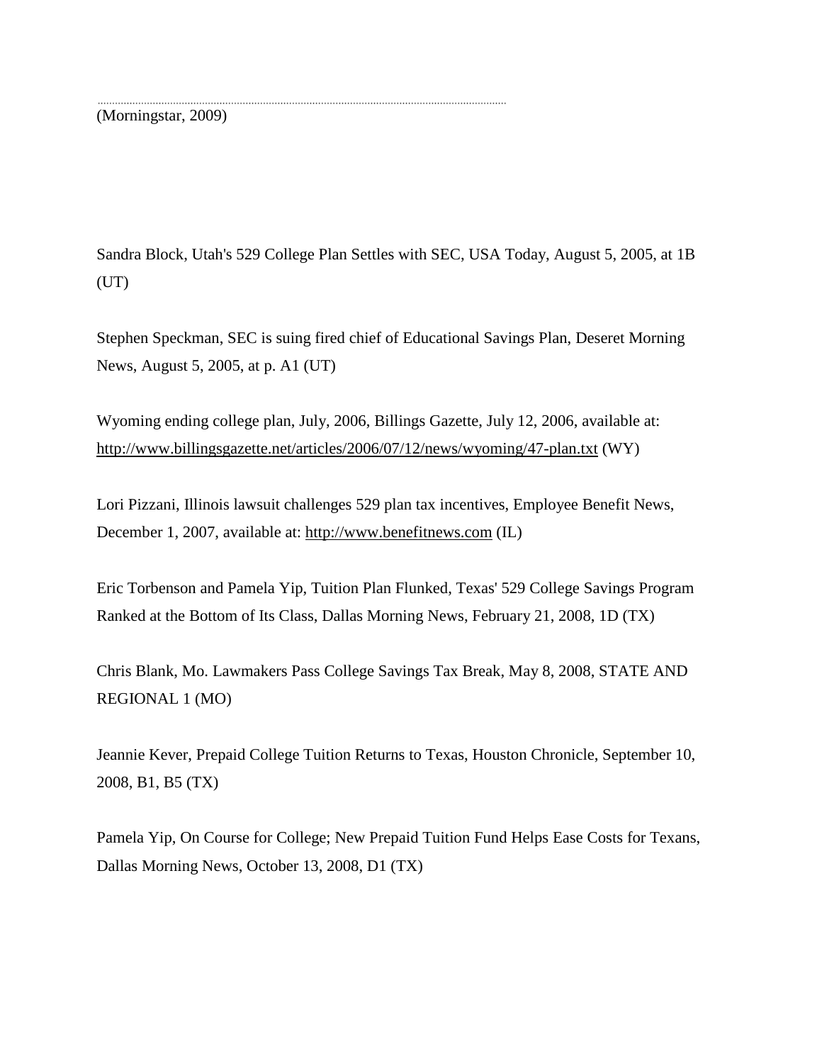(Morningstar, 2009)

Sandra Block, Utah's 529 College Plan Settles with SEC, USA Today, August 5, 2005, at 1B (UT)

Stephen Speckman, SEC is suing fired chief of Educational Savings Plan, Deseret Morning News, August 5, 2005, at p. A1 (UT)

Wyoming ending college plan, July, 2006, Billings Gazette, July 12, 2006, available at: <http://www.billingsgazette.net/articles/2006/07/12/news/wyoming/47-plan.txt> (WY)

Lori Pizzani, Illinois lawsuit challenges 529 plan tax incentives, Employee Benefit News, December 1, 2007, available at: [http://www.benefitnews.com](http://www.benefitnews.com/) (IL)

Eric Torbenson and Pamela Yip, Tuition Plan Flunked, Texas' 529 College Savings Program Ranked at the Bottom of Its Class, Dallas Morning News, February 21, 2008, 1D (TX)

Chris Blank, Mo. Lawmakers Pass College Savings Tax Break, May 8, 2008, STATE AND REGIONAL 1 (MO)

Jeannie Kever, Prepaid College Tuition Returns to Texas, Houston Chronicle, September 10, 2008, B1, B5 (TX)

Pamela Yip, On Course for College; New Prepaid Tuition Fund Helps Ease Costs for Texans, Dallas Morning News, October 13, 2008, D1 (TX)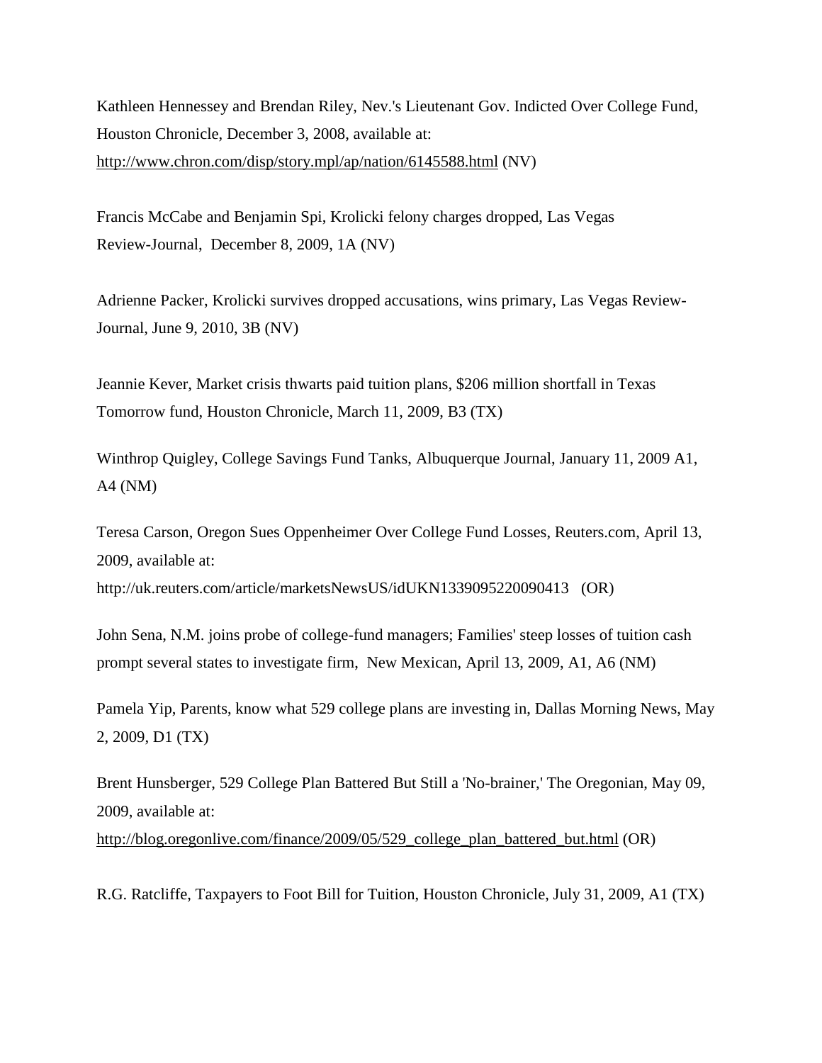Kathleen Hennessey and Brendan Riley, Nev.'s Lieutenant Gov. Indicted Over College Fund, Houston Chronicle, December 3, 2008, available at: <http://www.chron.com/disp/story.mpl/ap/nation/6145588.html> (NV)

Francis McCabe and Benjamin Spi, Krolicki felony charges dropped, Las Vegas Review-Journal, December 8, 2009, 1A (NV)

Adrienne Packer, Krolicki survives dropped accusations, wins primary, Las Vegas Review-Journal, June 9, 2010, 3B (NV)

Jeannie Kever, Market crisis thwarts paid tuition plans, \$206 million shortfall in Texas Tomorrow fund, Houston Chronicle, March 11, 2009, B3 (TX)

Winthrop Quigley, College Savings Fund Tanks, Albuquerque Journal, January 11, 2009 A1, A4 (NM)

Teresa Carson, Oregon Sues Oppenheimer Over College Fund Losses, Reuters.com, April 13, 2009, available at:

<http://uk.reuters.com/article/marketsNewsUS/idUKN1339095220090413> (OR)

John Sena, N.M. joins probe of college-fund managers; Families' steep losses of tuition cash prompt several states to investigate firm, New Mexican, April 13, 2009, A1, A6 (NM)

Pamela Yip, Parents, know what 529 college plans are investing in, Dallas Morning News, May 2, 2009, D1 (TX)

Brent Hunsberger, 529 College Plan Battered But Still a 'No-brainer,' The Oregonian, May 09, 2009, available at: [http://blog.oregonlive.com/finance/2009/05/529\\_college\\_plan\\_battered\\_but.html](http://blog.oregonlive.com/finance/2009/05/529_college_plan_battered_but.html) (OR)

R.G. Ratcliffe, Taxpayers to Foot Bill for Tuition, Houston Chronicle, July 31, 2009, A1 (TX)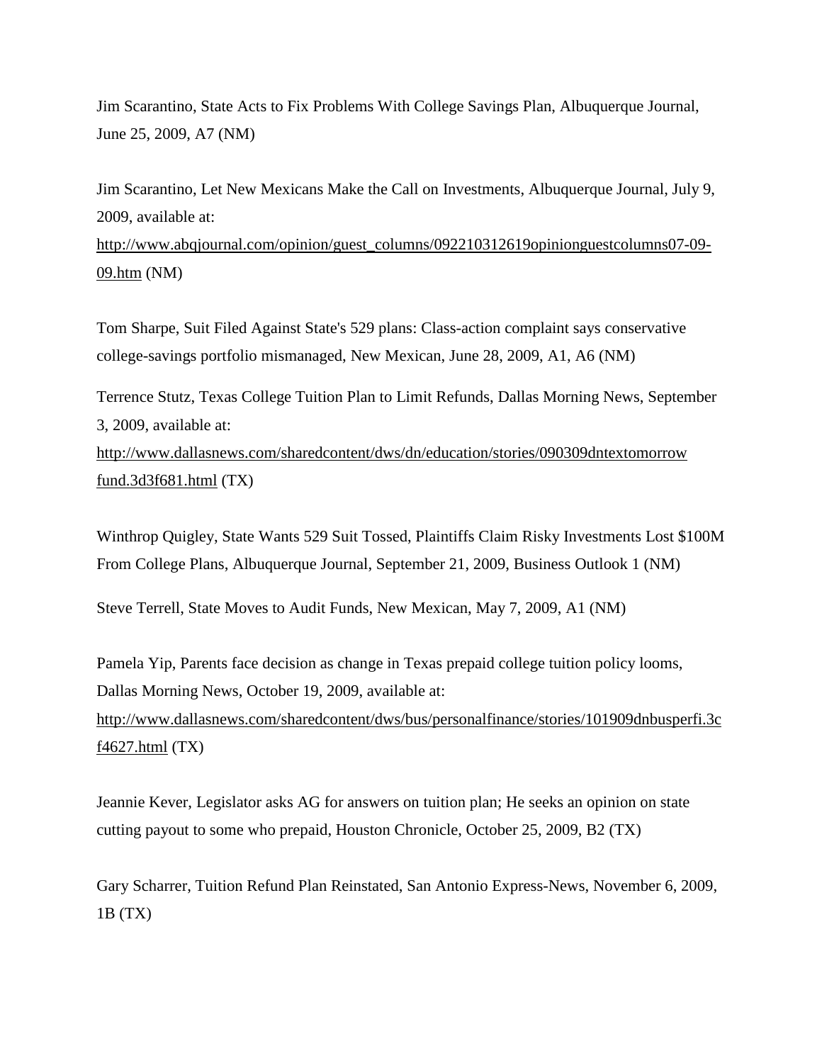Jim Scarantino, State Acts to Fix Problems With College Savings Plan, Albuquerque Journal, June 25, 2009, A7 (NM)

Jim Scarantino, Let New Mexicans Make the Call on Investments, Albuquerque Journal, July 9, 2009, available at:

[http://www.abqjournal.com/opinion/guest\\_columns/092210312619opinionguestcolumns07-09-](http://www.abqjournal.com/opinion/guest_columns/092210312619opinionguestcolumns07-09-09.htm) [09.htm](http://www.abqjournal.com/opinion/guest_columns/092210312619opinionguestcolumns07-09-09.htm) (NM)

Tom Sharpe, Suit Filed Against State's 529 plans: Class-action complaint says conservative college-savings portfolio mismanaged, New Mexican, June 28, 2009, A1, A6 (NM)

Terrence Stutz, Texas College Tuition Plan to Limit Refunds, Dallas Morning News, September 3, 2009, available at:

[http://www.dallasnews.com/sharedcontent/dws/dn/education/stories/090309dntextomorrow](http://www.dallasnews.com/sharedcontent/dws/dn/education/stories/090309dntextomorrow%09fund.3d3f681.html) [fund.3d3f681.html](http://www.dallasnews.com/sharedcontent/dws/dn/education/stories/090309dntextomorrow%09fund.3d3f681.html) (TX)

Winthrop Quigley, State Wants 529 Suit Tossed, Plaintiffs Claim Risky Investments Lost \$100M From College Plans, Albuquerque Journal, September 21, 2009, Business Outlook 1 (NM)

Steve Terrell, State Moves to Audit Funds, New Mexican, May 7, 2009, A1 (NM)

Pamela Yip, Parents face decision as change in Texas prepaid college tuition policy looms, Dallas Morning News, October 19, 2009, available at: [http://www.dallasnews.com/sharedcontent/dws/bus/personalfinance/stories/101909dnbusperfi.3c](http://www.dallasnews.com/sharedcontent/dws/bus/personalfinance/stories/101909dnbusperfi.3cf4627.html) [f4627.html](http://www.dallasnews.com/sharedcontent/dws/bus/personalfinance/stories/101909dnbusperfi.3cf4627.html) (TX)

Jeannie Kever, Legislator asks AG for answers on tuition plan; He seeks an opinion on state cutting payout to some who prepaid, Houston Chronicle, October 25, 2009, B2 (TX)

Gary Scharrer, Tuition Refund Plan Reinstated, San Antonio Express-News, November 6, 2009, 1B (TX)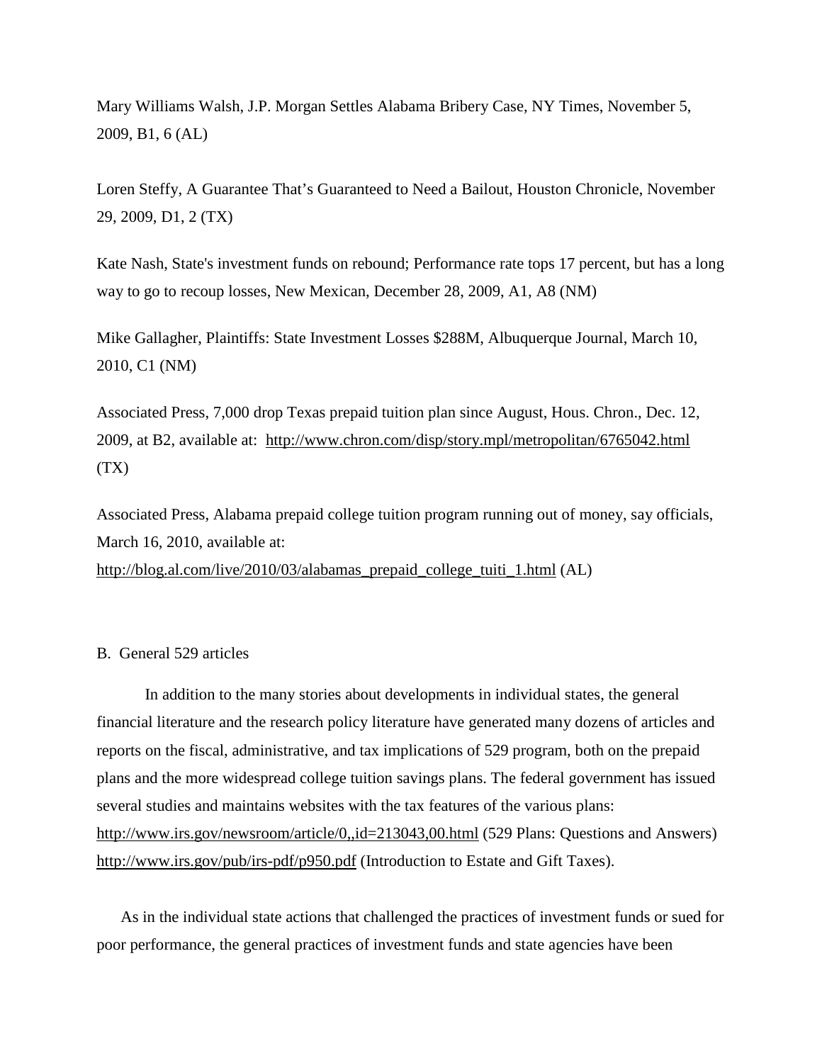Mary Williams Walsh, J.P. Morgan Settles Alabama Bribery Case, NY Times, November 5, 2009, B1, 6 (AL)

Loren Steffy, A Guarantee That's Guaranteed to Need a Bailout, Houston Chronicle, November 29, 2009, D1, 2 (TX)

Kate Nash, State's investment funds on rebound; Performance rate tops 17 percent, but has a long way to go to recoup losses, New Mexican, December 28, 2009, A1, A8 (NM)

Mike Gallagher, Plaintiffs: State Investment Losses \$288M, Albuquerque Journal, March 10, 2010, C1 (NM)

Associated Press, 7,000 drop Texas prepaid tuition plan since August, Hous. Chron., Dec. 12, 2009, at B2, available at: <http://www.chron.com/disp/story.mpl/metropolitan/6765042.html> (TX)

Associated Press, Alabama prepaid college tuition program running out of money, say officials, March 16, 2010, available at:

[http://blog.al.com/live/2010/03/alabamas\\_prepaid\\_college\\_tuiti\\_1.html](http://blog.al.com/live/2010/03/alabamas_prepaid_college_tuiti_1.html) (AL)

## B. General 529 articles

In addition to the many stories about developments in individual states, the general financial literature and the research policy literature have generated many dozens of articles and reports on the fiscal, administrative, and tax implications of 529 program, both on the prepaid plans and the more widespread college tuition savings plans. The federal government has issued several studies and maintains websites with the tax features of the various plans: <http://www.irs.gov/newsroom/article/0,,id=213043,00.html> (529 Plans: Questions and Answers) <http://www.irs.gov/pub/irs-pdf/p950.pdf> (Introduction to Estate and Gift Taxes).

As in the individual state actions that challenged the practices of investment funds or sued for poor performance, the general practices of investment funds and state agencies have been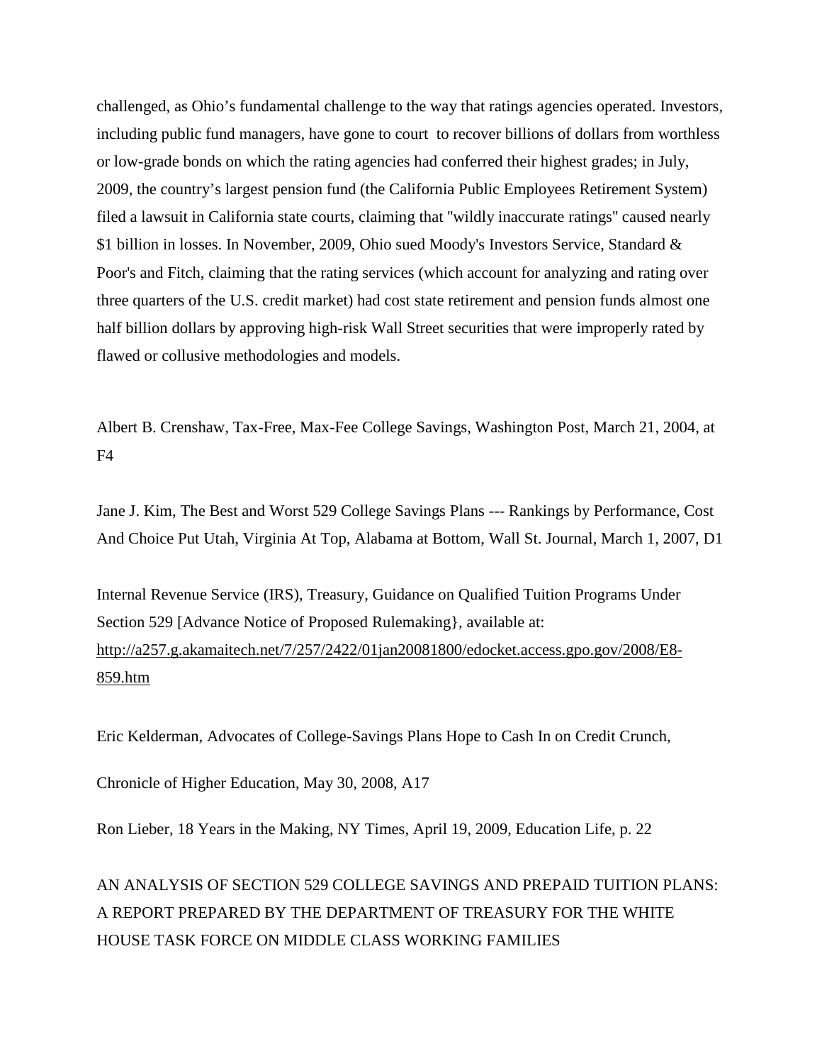challenged, as Ohio's fundamental challenge to the way that ratings agencies operated. Investors, including public fund managers, have gone to court to recover billions of dollars from worthless or low-grade bonds on which the rating agencies had conferred their highest grades; in July, 2009, the country's largest pension fund (the California Public Employees Retirement System) filed a lawsuit in California state courts, claiming that ''wildly inaccurate ratings'' caused nearly \$1 billion in losses. In November, 2009, Ohio sued Moody's Investors Service, Standard & Poor's and Fitch, claiming that the rating services (which account for analyzing and rating over three quarters of the U.S. credit market) had cost state retirement and pension funds almost one half billion dollars by approving high-risk Wall Street securities that were improperly rated by flawed or collusive methodologies and models.

 Albert B. Crenshaw, Tax-Free, Max-Fee College Savings, Washington Post, March 21, 2004, at  $F<sub>4</sub>$ 

Jane J. Kim, The Best and Worst 529 College Savings Plans --- Rankings by Performance, Cost And Choice Put Utah, Virginia At Top, Alabama at Bottom, Wall St. Journal, March 1, 2007, D1

Internal Revenue Service (IRS), Treasury, Guidance on Qualified Tuition Programs Under Section 529 [Advance Notice of Proposed Rulemaking}, available at: [http://a257.g.akamaitech.net/7/257/2422/01jan20081800/edocket.access.gpo.gov/2008/E8-](http://a257.g.akamaitech.net/7/257/2422/01jan20081800/edocket.access.gpo.gov/2008/E8-859.htm) [859.htm](http://a257.g.akamaitech.net/7/257/2422/01jan20081800/edocket.access.gpo.gov/2008/E8-859.htm)

Eric Kelderman, Advocates of College-Savings Plans Hope to Cash In on Credit Crunch,

Chronicle of Higher Education, May 30, 2008, A17

Ron Lieber, 18 Years in the Making, NY Times, April 19, 2009, Education Life, p. 22

AN ANALYSIS OF SECTION 529 COLLEGE SAVINGS AND PREPAID TUITION PLANS: A REPORT PREPARED BY THE DEPARTMENT OF TREASURY FOR THE WHITE HOUSE TASK FORCE ON MIDDLE CLASS WORKING FAMILIES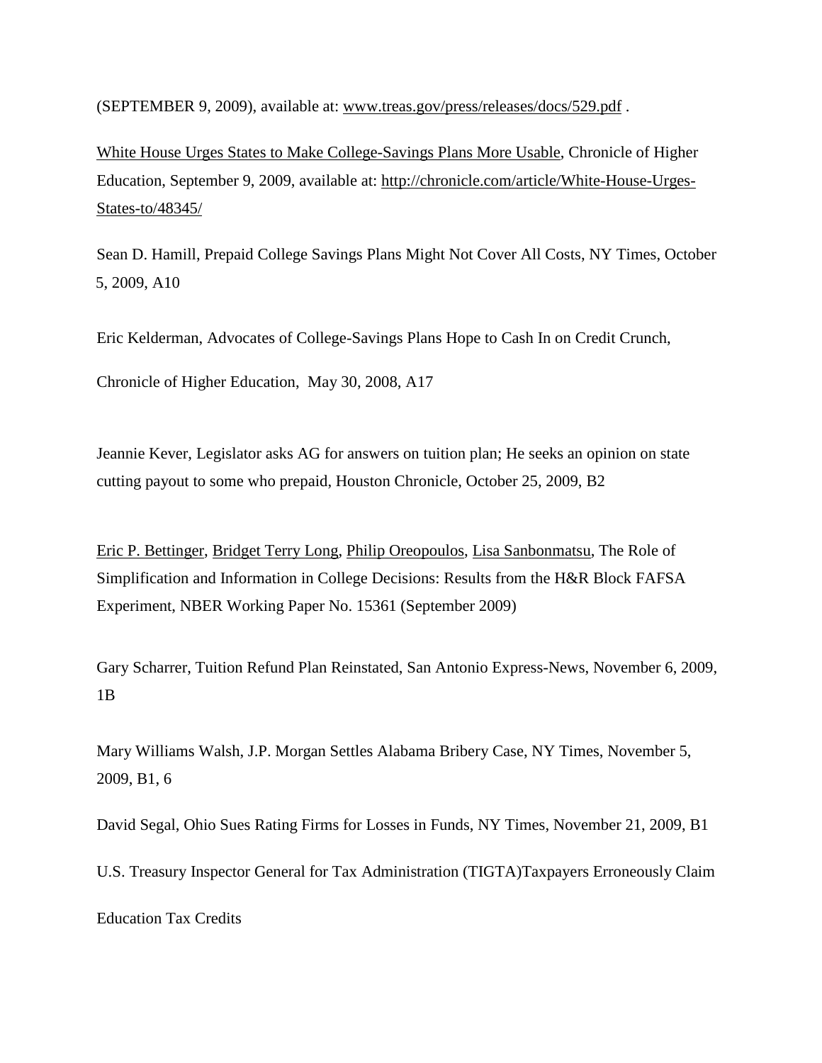(SEPTEMBER 9, 2009), available at: [www.treas.gov/press/releases/docs/529.pdf](http://www.treas.gov/press/releases/docs/529.pdf) .

White House Urges States to Make College-Savings Plans More Usable, Chronicle of Higher Education, September 9, 2009, available at: [http://chronicle.com/article/White-House-Urges-](http://chronicle.com/article/White-House-Urges-States-to/48345/)[States-to/48345/](http://chronicle.com/article/White-House-Urges-States-to/48345/) 

Sean D. Hamill, Prepaid College Savings Plans Might Not Cover All Costs, NY Times, October 5, 2009, A10

Eric Kelderman, Advocates of College-Savings Plans Hope to Cash In on Credit Crunch,

Chronicle of Higher Education, May 30, 2008, A17

Jeannie Kever, Legislator asks AG for answers on tuition plan; He seeks an opinion on state cutting payout to some who prepaid, Houston Chronicle, October 25, 2009, B2

[Eric P. Bettinger,](http://www.nber.org/authors/eric_bettinger) [Bridget Terry Long,](http://www.nber.org/authors/bridget_long) [Philip Oreopoulos,](http://www.nber.org/authors/philip_oreopoulos) [Lisa Sanbonmatsu,](http://www.nber.org/authors/lisa_sanbonmatsu) The Role of Simplification and Information in College Decisions: Results from the H&R Block FAFSA Experiment, NBER Working Paper No. 15361 (September 2009)

Gary Scharrer, Tuition Refund Plan Reinstated, San Antonio Express-News, November 6, 2009, 1B

Mary Williams Walsh, J.P. Morgan Settles Alabama Bribery Case, NY Times, November 5, 2009, B1, 6

David Segal, Ohio Sues Rating Firms for Losses in Funds, NY Times, November 21, 2009, B1

U.S. Treasury Inspector General for Tax Administration (TIGTA)Taxpayers Erroneously Claim

Education Tax Credits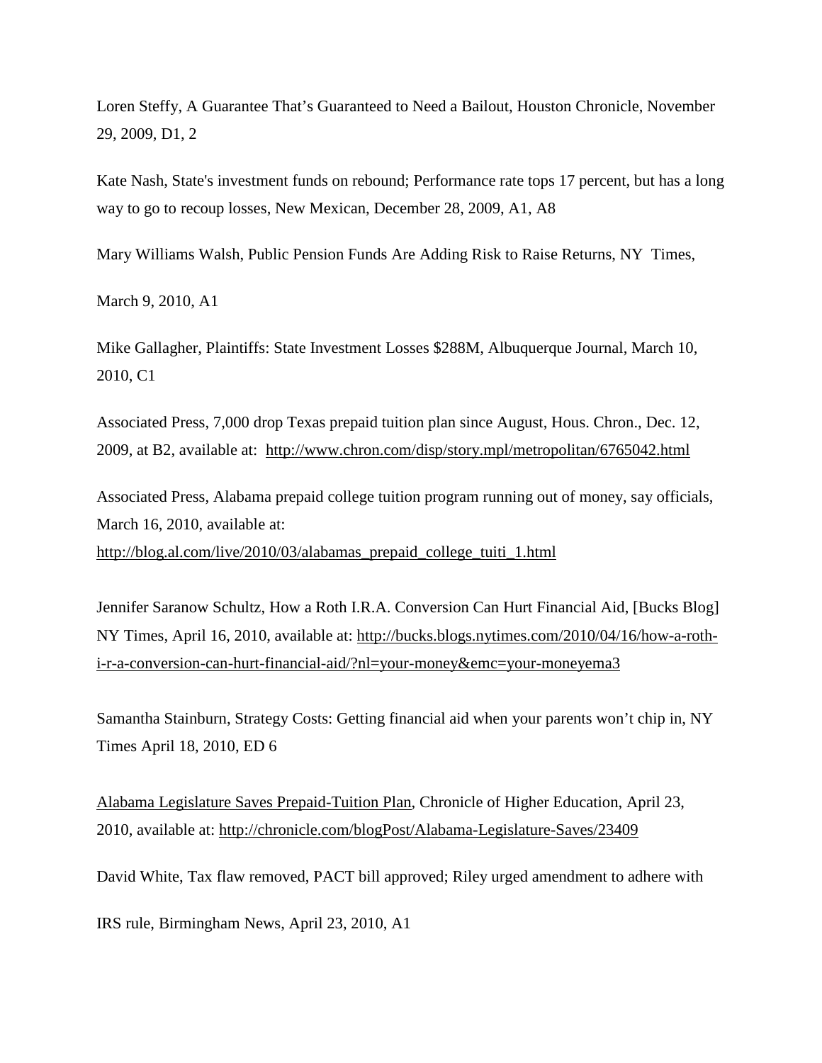Loren Steffy, A Guarantee That's Guaranteed to Need a Bailout, Houston Chronicle, November 29, 2009, D1, 2

Kate Nash, State's investment funds on rebound; Performance rate tops 17 percent, but has a long way to go to recoup losses, New Mexican, December 28, 2009, A1, A8

Mary Williams Walsh, Public Pension Funds Are Adding Risk to Raise Returns, NY Times,

March 9, 2010, A1

Mike Gallagher, Plaintiffs: State Investment Losses \$288M, Albuquerque Journal, March 10, 2010, C1

Associated Press, 7,000 drop Texas prepaid tuition plan since August, Hous. Chron., Dec. 12, 2009, at B2, available at: <http://www.chron.com/disp/story.mpl/metropolitan/6765042.html>

Associated Press, Alabama prepaid college tuition program running out of money, say officials, March 16, 2010, available at:

[http://blog.al.com/live/2010/03/alabamas\\_prepaid\\_college\\_tuiti\\_1.html](http://blog.al.com/live/2010/03/alabamas_prepaid_college_tuiti_1.html)

Jennifer Saranow Schultz, How a Roth I.R.A. Conversion Can Hurt Financial Aid, [Bucks Blog] NY Times, April 16, 2010, available at: [http://bucks.blogs.nytimes.com/2010/04/16/how-a-roth](http://bucks.blogs.nytimes.com/2010/04/16/how-a-roth-i-r-a-conversion-can-hurt-financial-aid/?nl=your-money&emc=your-moneyema3)[i-r-a-conversion-can-hurt-financial-aid/?nl=your-money&emc=your-moneyema3](http://bucks.blogs.nytimes.com/2010/04/16/how-a-roth-i-r-a-conversion-can-hurt-financial-aid/?nl=your-money&emc=your-moneyema3)

Samantha Stainburn, Strategy Costs: Getting financial aid when your parents won't chip in, NY Times April 18, 2010, ED 6

[Alabama Legislature Saves Prepaid-Tuition Plan,](http://chronicle.com/blogPost/Alabama-Legislature-Saves/23409/) Chronicle of Higher Education, April 23, 2010, available at:<http://chronicle.com/blogPost/Alabama-Legislature-Saves/23409>

David White, Tax flaw removed, PACT bill approved; Riley urged amendment to adhere with

IRS rule, Birmingham News, April 23, 2010, A1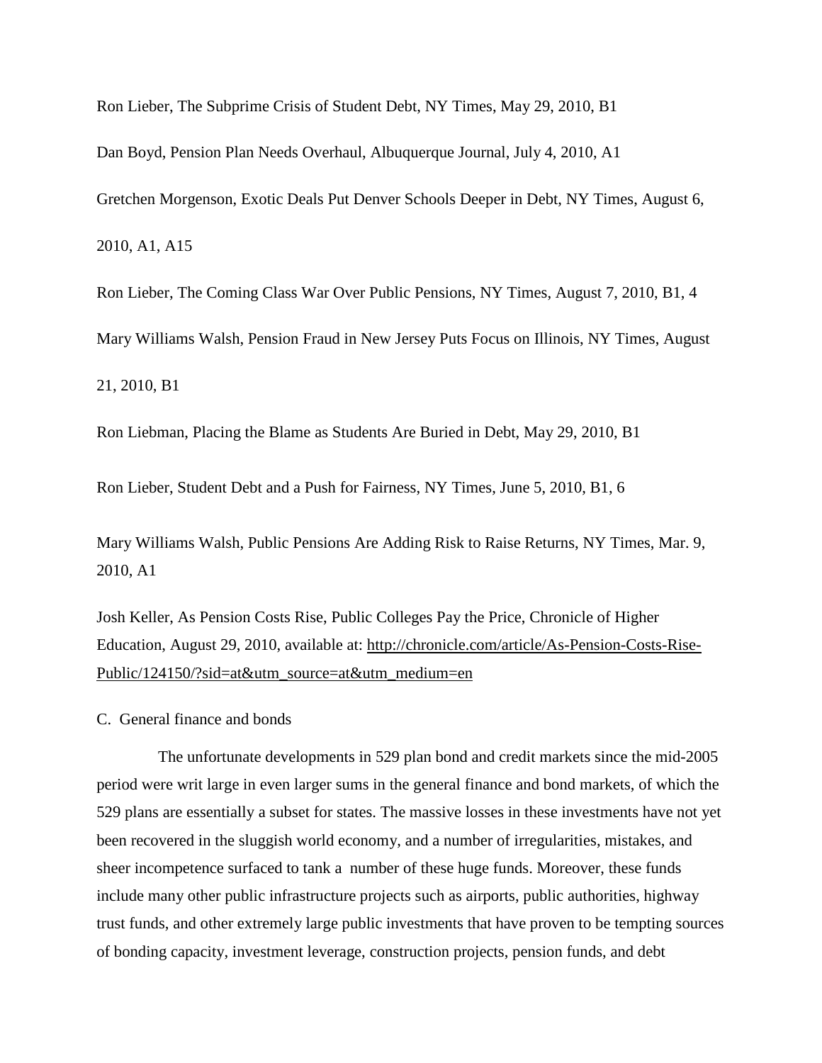Ron Lieber, The Subprime Crisis of Student Debt, NY Times, May 29, 2010, B1 Dan Boyd, Pension Plan Needs Overhaul, Albuquerque Journal, July 4, 2010, A1 Gretchen Morgenson, Exotic Deals Put Denver Schools Deeper in Debt, NY Times, August 6, 2010, A1, A15

Ron Lieber, The Coming Class War Over Public Pensions, NY Times, August 7, 2010, B1, 4 Mary Williams Walsh, Pension Fraud in New Jersey Puts Focus on Illinois, NY Times, August 21, 2010, B1

Ron Liebman, Placing the Blame as Students Are Buried in Debt, May 29, 2010, B1

Ron Lieber, Student Debt and a Push for Fairness, NY Times, June 5, 2010, B1, 6

Mary Williams Walsh, Public Pensions Are Adding Risk to Raise Returns, NY Times, Mar. 9, 2010, A1

Josh Keller, As Pension Costs Rise, Public Colleges Pay the Price, Chronicle of Higher Education, August 29, 2010, available at: [http://chronicle.com/article/As-Pension-Costs-Rise-](http://chronicle.com/article/As-Pension-Costs-Rise-Public/124150/?sid=at&utm_source=at&utm_medium=en)[Public/124150/?sid=at&utm\\_source=at&utm\\_medium=en](http://chronicle.com/article/As-Pension-Costs-Rise-Public/124150/?sid=at&utm_source=at&utm_medium=en)

C. General finance and bonds

 The unfortunate developments in 529 plan bond and credit markets since the mid-2005 period were writ large in even larger sums in the general finance and bond markets, of which the 529 plans are essentially a subset for states. The massive losses in these investments have not yet been recovered in the sluggish world economy, and a number of irregularities, mistakes, and sheer incompetence surfaced to tank a number of these huge funds. Moreover, these funds include many other public infrastructure projects such as airports, public authorities, highway trust funds, and other extremely large public investments that have proven to be tempting sources of bonding capacity, investment leverage, construction projects, pension funds, and debt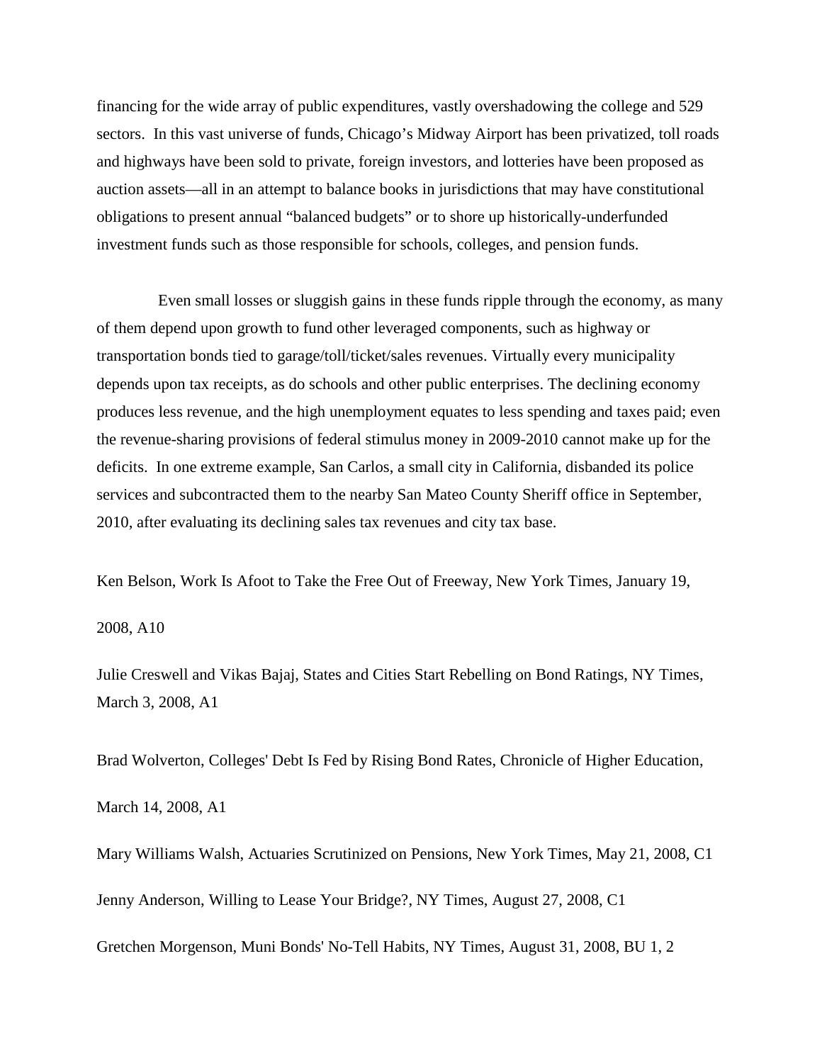financing for the wide array of public expenditures, vastly overshadowing the college and 529 sectors. In this vast universe of funds, Chicago's Midway Airport has been privatized, toll roads and highways have been sold to private, foreign investors, and lotteries have been proposed as auction assets—all in an attempt to balance books in jurisdictions that may have constitutional obligations to present annual "balanced budgets" or to shore up historically-underfunded investment funds such as those responsible for schools, colleges, and pension funds.

Even small losses or sluggish gains in these funds ripple through the economy, as many of them depend upon growth to fund other leveraged components, such as highway or transportation bonds tied to garage/toll/ticket/sales revenues. Virtually every municipality depends upon tax receipts, as do schools and other public enterprises. The declining economy produces less revenue, and the high unemployment equates to less spending and taxes paid; even the revenue-sharing provisions of federal stimulus money in 2009-2010 cannot make up for the deficits. In one extreme example, San Carlos, a small city in California, disbanded its police services and subcontracted them to the nearby San Mateo County Sheriff office in September, 2010, after evaluating its declining sales tax revenues and city tax base.

Ken Belson, Work Is Afoot to Take the Free Out of Freeway, New York Times, January 19,

#### 2008, A10

Julie Creswell and Vikas Bajaj, States and Cities Start Rebelling on Bond Ratings, NY Times, March 3, 2008, A1

Brad Wolverton, Colleges' Debt Is Fed by Rising Bond Rates, Chronicle of Higher Education, March 14, 2008, A1

Mary Williams Walsh, Actuaries Scrutinized on Pensions, New York Times, May 21, 2008, C1 Jenny Anderson, Willing to Lease Your Bridge?, NY Times, August 27, 2008, C1 Gretchen Morgenson, Muni Bonds' No-Tell Habits, NY Times, August 31, 2008, BU 1, 2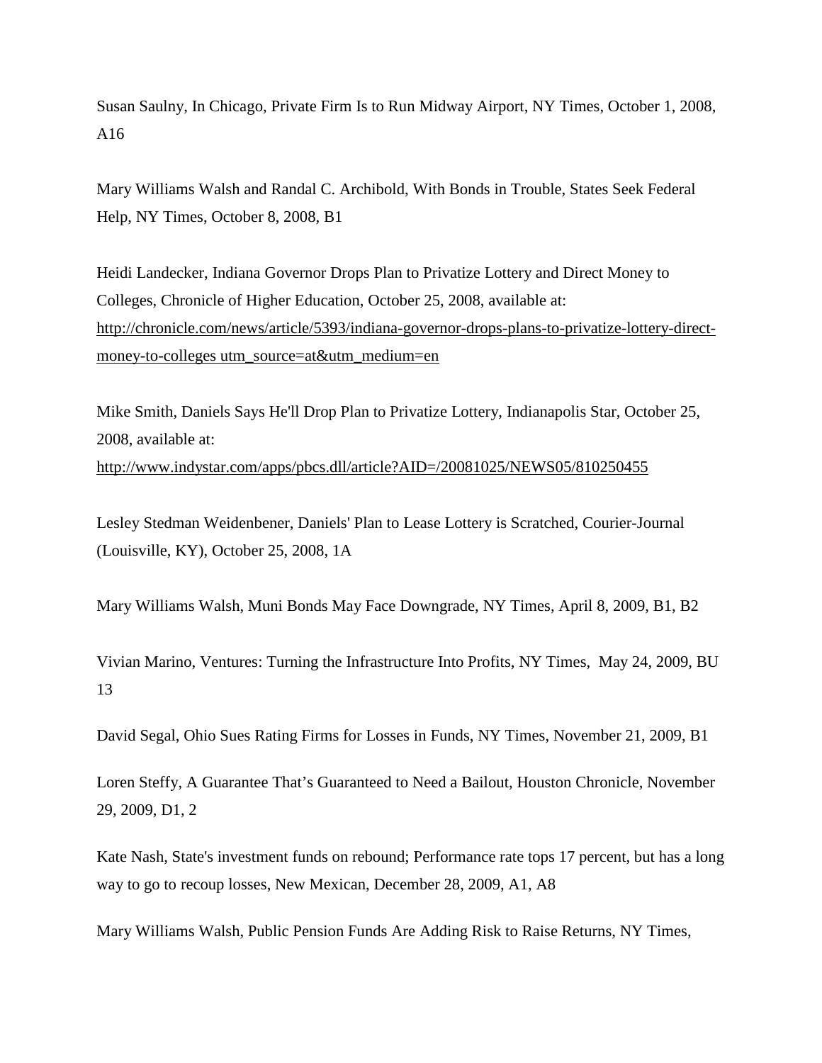Susan Saulny, In Chicago, Private Firm Is to Run Midway Airport, NY Times, October 1, 2008, A16

Mary Williams Walsh and Randal C. Archibold, With Bonds in Trouble, States Seek Federal Help, NY Times, October 8, 2008, B1

Heidi Landecker, Indiana Governor Drops Plan to Privatize Lottery and Direct Money to Colleges, Chronicle of Higher Education, October 25, 2008, available at: [http://chronicle.com/news/article/5393/indiana-governor-drops-plans-to-privatize-lottery-direct](http://chronicle.com/news/article/5393/indiana-governor-drops-plans-to-privatize-lottery-direct-money-to-colleges%20utm_source=at&utm_medium=en)money-to-colleges [utm\\_source=at&utm\\_medium=en](http://chronicle.com/news/article/5393/indiana-governor-drops-plans-to-privatize-lottery-direct-money-to-colleges%20utm_source=at&utm_medium=en)

Mike Smith, Daniels Says He'll Drop Plan to Privatize Lottery, Indianapolis Star, October 25, 2008, available at: <http://www.indystar.com/apps/pbcs.dll/article?AID=/20081025/NEWS05/810250455>

Lesley Stedman Weidenbener, Daniels' Plan to Lease Lottery is Scratched, Courier-Journal (Louisville, KY), October 25, 2008, 1A

Mary Williams Walsh, Muni Bonds May Face Downgrade, NY Times, April 8, 2009, B1, B2

Vivian Marino, Ventures: Turning the Infrastructure Into Profits, NY Times, May 24, 2009, BU 13

David Segal, Ohio Sues Rating Firms for Losses in Funds, NY Times, November 21, 2009, B1

Loren Steffy, A Guarantee That's Guaranteed to Need a Bailout, Houston Chronicle, November 29, 2009, D1, 2

Kate Nash, State's investment funds on rebound; Performance rate tops 17 percent, but has a long way to go to recoup losses, New Mexican, December 28, 2009, A1, A8

Mary Williams Walsh, Public Pension Funds Are Adding Risk to Raise Returns, NY Times,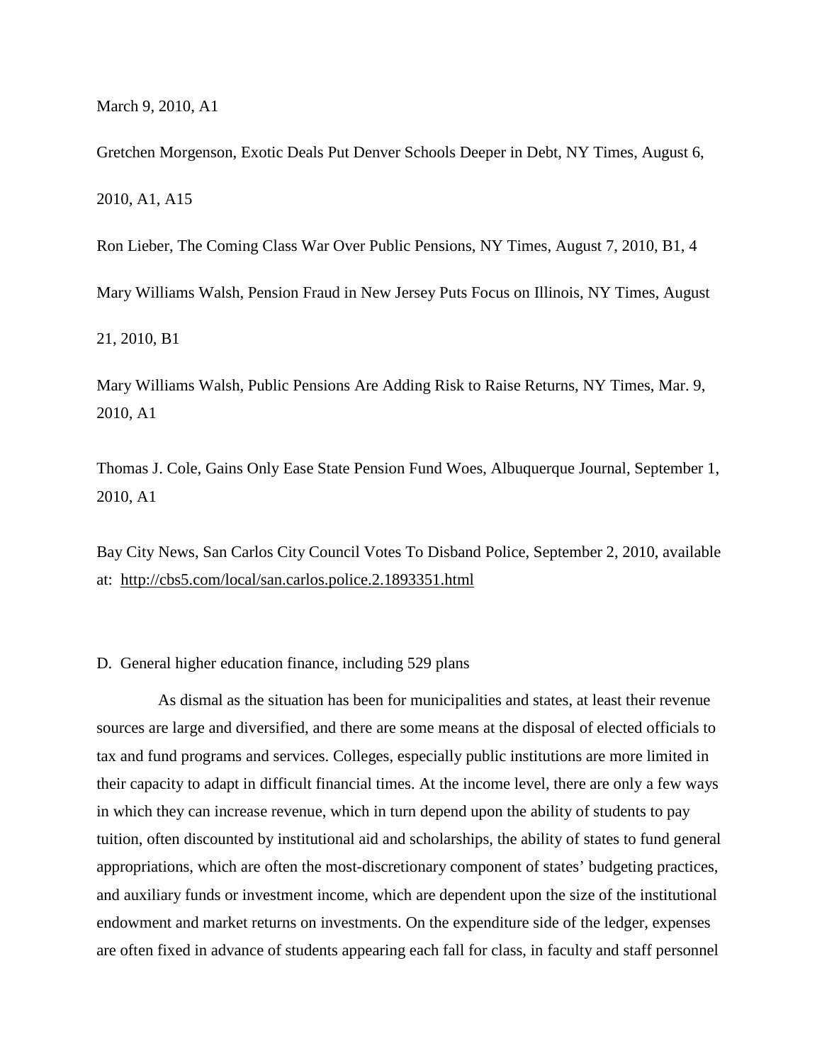Gretchen Morgenson, Exotic Deals Put Denver Schools Deeper in Debt, NY Times, August 6, 2010, A1, A15

Ron Lieber, The Coming Class War Over Public Pensions, NY Times, August 7, 2010, B1, 4

Mary Williams Walsh, Pension Fraud in New Jersey Puts Focus on Illinois, NY Times, August

21, 2010, B1

Mary Williams Walsh, Public Pensions Are Adding Risk to Raise Returns, NY Times, Mar. 9, 2010, A1

Thomas J. Cole, Gains Only Ease State Pension Fund Woes, Albuquerque Journal, September 1, 2010, A1

Bay City News, San Carlos City Council Votes To Disband Police, September 2, 2010, available at: <http://cbs5.com/local/san.carlos.police.2.1893351.html>

D. General higher education finance, including 529 plans

As dismal as the situation has been for municipalities and states, at least their revenue sources are large and diversified, and there are some means at the disposal of elected officials to tax and fund programs and services. Colleges, especially public institutions are more limited in their capacity to adapt in difficult financial times. At the income level, there are only a few ways in which they can increase revenue, which in turn depend upon the ability of students to pay tuition, often discounted by institutional aid and scholarships, the ability of states to fund general appropriations, which are often the most-discretionary component of states' budgeting practices, and auxiliary funds or investment income, which are dependent upon the size of the institutional endowment and market returns on investments. On the expenditure side of the ledger, expenses are often fixed in advance of students appearing each fall for class, in faculty and staff personnel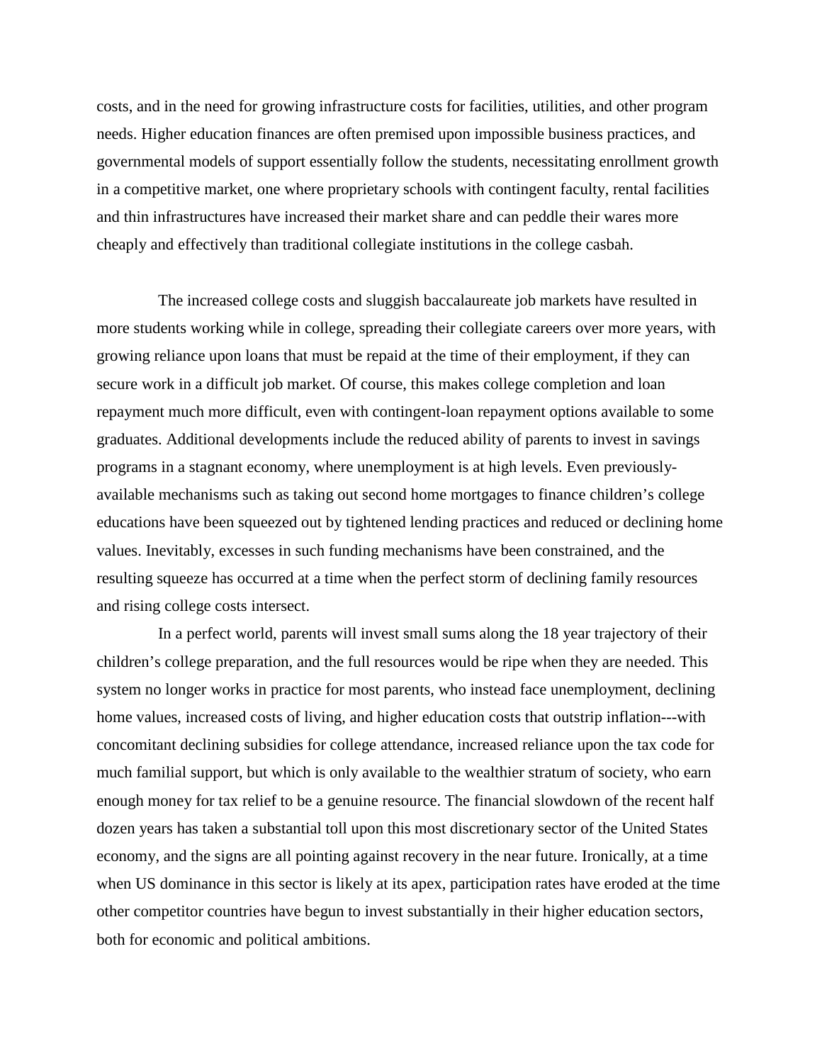costs, and in the need for growing infrastructure costs for facilities, utilities, and other program needs. Higher education finances are often premised upon impossible business practices, and governmental models of support essentially follow the students, necessitating enrollment growth in a competitive market, one where proprietary schools with contingent faculty, rental facilities and thin infrastructures have increased their market share and can peddle their wares more cheaply and effectively than traditional collegiate institutions in the college casbah.

The increased college costs and sluggish baccalaureate job markets have resulted in more students working while in college, spreading their collegiate careers over more years, with growing reliance upon loans that must be repaid at the time of their employment, if they can secure work in a difficult job market. Of course, this makes college completion and loan repayment much more difficult, even with contingent-loan repayment options available to some graduates. Additional developments include the reduced ability of parents to invest in savings programs in a stagnant economy, where unemployment is at high levels. Even previouslyavailable mechanisms such as taking out second home mortgages to finance children's college educations have been squeezed out by tightened lending practices and reduced or declining home values. Inevitably, excesses in such funding mechanisms have been constrained, and the resulting squeeze has occurred at a time when the perfect storm of declining family resources and rising college costs intersect.

In a perfect world, parents will invest small sums along the 18 year trajectory of their children's college preparation, and the full resources would be ripe when they are needed. This system no longer works in practice for most parents, who instead face unemployment, declining home values, increased costs of living, and higher education costs that outstrip inflation---with concomitant declining subsidies for college attendance, increased reliance upon the tax code for much familial support, but which is only available to the wealthier stratum of society, who earn enough money for tax relief to be a genuine resource. The financial slowdown of the recent half dozen years has taken a substantial toll upon this most discretionary sector of the United States economy, and the signs are all pointing against recovery in the near future. Ironically, at a time when US dominance in this sector is likely at its apex, participation rates have eroded at the time other competitor countries have begun to invest substantially in their higher education sectors, both for economic and political ambitions.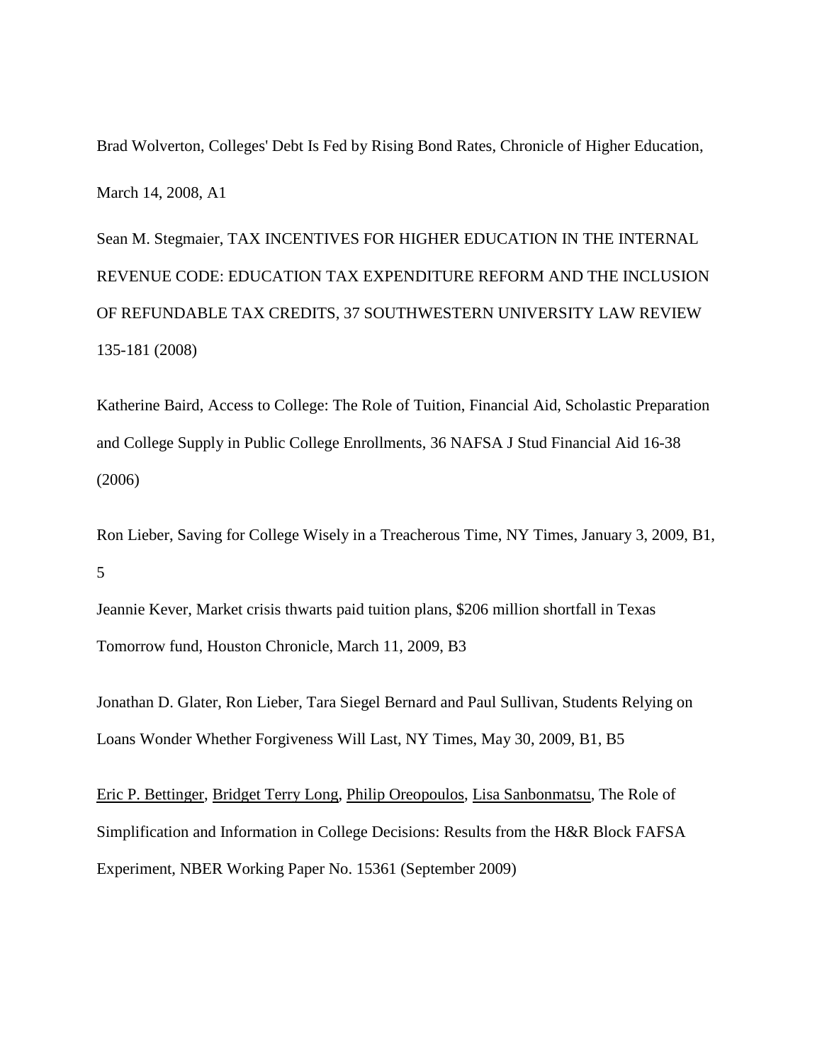Brad Wolverton, Colleges' Debt Is Fed by Rising Bond Rates, Chronicle of Higher Education, March 14, 2008, A1

Sean M. Stegmaier, TAX INCENTIVES FOR HIGHER EDUCATION IN THE INTERNAL REVENUE CODE: EDUCATION TAX EXPENDITURE REFORM AND THE INCLUSION OF REFUNDABLE TAX CREDITS, 37 SOUTHWESTERN UNIVERSITY LAW REVIEW 135-181 (2008)

Katherine Baird, Access to College: The Role of Tuition, Financial Aid, Scholastic Preparation and College Supply in Public College Enrollments, 36 NAFSA J Stud Financial Aid 16-38 (2006)

Ron Lieber, Saving for College Wisely in a Treacherous Time, NY Times, January 3, 2009, B1, 5

Jeannie Kever, Market crisis thwarts paid tuition plans, \$206 million shortfall in Texas Tomorrow fund, Houston Chronicle, March 11, 2009, B3

Jonathan D. Glater, Ron Lieber, Tara Siegel Bernard and Paul Sullivan, Students Relying on Loans Wonder Whether Forgiveness Will Last, NY Times, May 30, 2009, B1, B5

[Eric P. Bettinger,](http://www.nber.org/authors/eric_bettinger) [Bridget Terry Long,](http://www.nber.org/authors/bridget_long) [Philip Oreopoulos,](http://www.nber.org/authors/philip_oreopoulos) [Lisa Sanbonmatsu,](http://www.nber.org/authors/lisa_sanbonmatsu) The Role of Simplification and Information in College Decisions: Results from the H&R Block FAFSA Experiment, NBER Working Paper No. 15361 (September 2009)